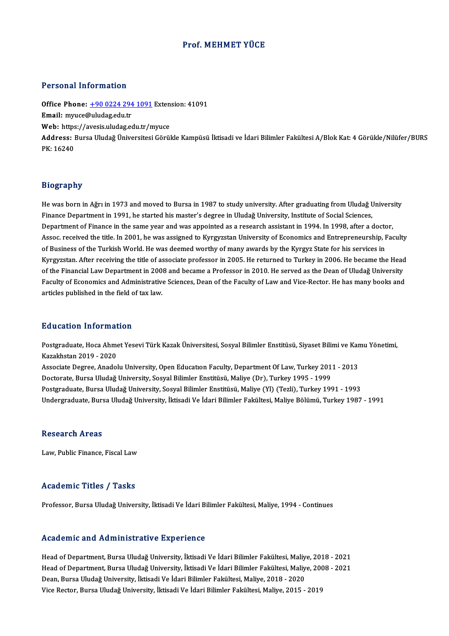#### Prof.MEHMET YÜCE

#### Personal Information

Personal Information<br>Office Phone: <u>+90 0224 294 1091</u> Extension: 41091<br>Email: muuse@uludag.edu.tr Processing internation<br>Office Phone: <u>+90 0224 294</u><br>Email: myuce@uludag.edu.tr Office Phone: <u>+90 0224 294 1091</u> Exten<br>Email: myuce@uludag.edu.tr<br>Web: https://a[vesis.uludag.edu.tr/m](tel:+90 0224 294 1091)yuce **Email:** myuce@uludag.edu.tr<br>Web: https://avesis.uludag.edu.tr/myuce<br>Address: Bursa Uludağ Üniversitesi Görükle Kampüsü İktisadi ve İdari Bilimler Fakültesi A/Blok Kat: 4 Görükle/Nilüfer/BURS<br>PK: 16240 Web: https://avesis.uludag.edu.tr/myuce

#### Biography

Biography<br>He was born in Ağrı in 1973 and moved to Bursa in 1987 to study university. After graduating from Uludağ University<br>Finance Department in 1991, he started bis mester's degree in Uludağ University, Institute of So Biograpii<br>He was born in Ağrı in 1973 and moved to Bursa in 1987 to study university. After graduating from Uludağ U<br>Finance Department in 1991, he started his master's degree in Uludağ University, Institute of Social Scie He was born in Ağrı in 1973 and moved to Bursa in 1987 to study university. After graduating from Uludağ Univers<br>Finance Department in 1991, he started his master's degree in Uludağ University, Institute of Social Sciences Finance Department in 1991, he started his master's degree in Uludağ University, Institute of Social Sciences,<br>Department of Finance in the same year and was appointed as a research assistant in 1994. In 1998, after a doct of Business of the Turkish World. He was deemed worthy of many awards by the Kyrgyz State for his services in Assoc. received the title. In 2001, he was assigned to Kyrgyzstan University of Economics and Entrepreneurship, Faculty<br>of Business of the Turkish World. He was deemed worthy of many awards by the Kyrgyz State for his serv of Business of the Turkish World. He was deemed worthy of many awards by the Kyrgyz State for his services in<br>Kyrgyzstan. After receiving the title of associate professor in 2005. He returned to Turkey in 2006. He became t Kyrgyzstan. After receiving the title of associate professor in 2005. He returned to Turkey in 2006. He became the Head<br>of the Financial Law Department in 2008 and became a Professor in 2010. He served as the Dean of Uluda of the Financial Law Department in 2008 and became a Professor in 2010. He served as the Dean of Uludağ University<br>Faculty of Economics and Administrative Sciences, Dean of the Faculty of Law and Vice-Rector. He has many b

#### Education Information

**Education Information**<br>Postgraduate, Hoca Ahmet Yesevi Türk Kazak Üniversitesi, Sosyal Bilimler Enstitüsü, Siyaset Bilimi ve Kamu Yönetimi,<br>Karakhstar 2019, 2020 Maxamber 11121<br>Postgraduate, Hoca Ahme<br>Kazakhstan 2019 - 2020<br>Associate Degree, Anadel Postgraduate, Hoca Ahmet Yesevi Türk Kazak Üniversitesi, Sosyal Bilimler Enstitüsü, Siyaset Bilimi ve Kar<br>Kazakhstan 2019 - 2020<br>Associate Degree, Anadolu University, Open Education Faculty, Department Of Law, Turkey 2011

Kazakhstan 2019 - 2020<br>Associate Degree, Anadolu University, Open Education Faculty, Department Of Law, Turkey 201<br>Doctorate, Bursa Uludağ University, Sosyal Bilimler Enstitüsü, Maliye (Dr), Turkey 1995 - 1999<br>Postsraduata Associate Degree, Anadolu University, Open Education Faculty, Department Of Law, Turkey 2011 - 2013<br>Doctorate, Bursa Uludağ University, Sosyal Bilimler Enstitüsü, Maliye (Dr), Turkey 1995 - 1999<br>Postgraduate, Bursa Uludağ Doctorate, Bursa Uludağ University, Sosyal Bilimler Enstitüsü, Maliye (Dr), Turkey 1995 - 1999<br>Postgraduate, Bursa Uludağ University, Sosyal Bilimler Enstitüsü, Maliye (Yl) (Tezli), Turkey 1991 - 1993<br>Undergraduate, Bursa

#### **Research Areas**

Law, Public Finance, Fiscal Law

#### Academic Titles / Tasks

Professor, Bursa Uludağ University, İktisadi Ve İdari Bilimler Fakültesi, Maliye, 1994 - Continues

#### Academic and Administrative Experience

Academic and Administrative Experience<br>Head of Department, Bursa Uludağ University, İktisadi Ve İdari Bilimler Fakültesi, Maliye, 2018 - 2021<br>Head of Department, Bursa Uludağ University, İktisadi Ve İdari Bilimler Fakültes Head of Department, Bursa Uludağ University, İktisadi Ve İdari Bilimler Fakültesi, Maliye, 2018 - 2021<br>Head of Department, Bursa Uludağ University, İktisadi Ve İdari Bilimler Fakültesi, Maliye, 2008 - 2021<br>Dean, Bursa Ulud Head of Department, Bursa Uludağ University, İktisadi Ve İdari Bilimler Fakültesi, Maliy<br>Head of Department, Bursa Uludağ University, İktisadi Ve İdari Bilimler Fakültesi, Maliy<br>Dean, Bursa Uludağ University, İktisadi Ve İ Head of Department, Bursa Uludağ University, İktisadi Ve İdari Bilimler Fakültesi, Maliye, 2008 - 2021<br>Dean, Bursa Uludağ University, İktisadi Ve İdari Bilimler Fakültesi, Maliye, 2018 - 2020<br>Vice Rector, Bursa Uludağ Univ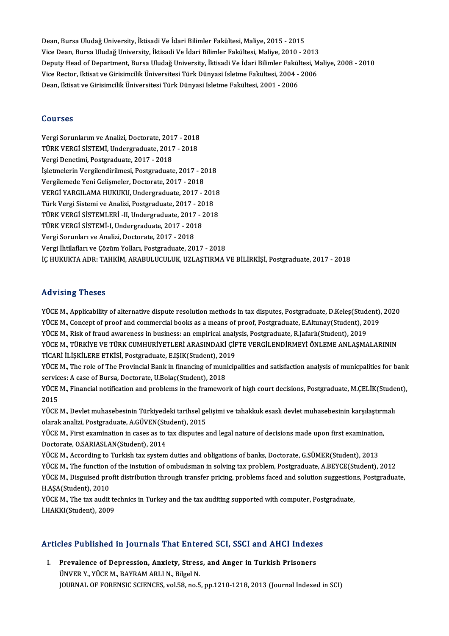Dean, Bursa Uludağ University, İktisadi Ve İdari Bilimler Fakültesi, Maliye, 2015 - 2015<br>Visa Dean, Bursa Uludağ University, İktisadi Ve İdari Bilimler Fakültesi, Maliye, 2015 - 2015 Dean, Bursa Uludağ University, İktisadi Ve İdari Bilimler Fakültesi, Maliye, 2015 - 2015<br>Vice Dean, Bursa Uludağ University, İktisadi Ve İdari Bilimler Fakültesi, Maliye, 2010 - 2013<br>Denuty Heed of Denartment, Bursa Uludağ Deputy Head of Department, Bursa Uludağ University, İktisadi Ve İdari Bilimler Fakültesi, Maliye, 2008 - 2010 Vice Dean, Bursa Uludağ University, İktisadi Ve İdari Bilimler Fakültesi, Maliye, 2010 - 2013<br>Deputy Head of Department, Bursa Uludağ University, İktisadi Ve İdari Bilimler Fakültesi, M<br>Vice Rector, Iktisat ve Girisimcilik Vice Rector, Iktisat ve Girisimcilik Üniversitesi Türk Dünyasi Isletme Fakültesi, 2004 - 2006

#### Courses

Vergi Sorunlarım ve Analizi, Doctorate, 2017 - 2018 TURITUE<br>TÜRK VERGİ SİSTEMİ, Undergraduate, 2017 - 2018<br>TÜRK VERGİ SİSTEMİ, Undergraduate, 2017 - 2018<br>Vergi Denetimi, Bestaraduate, 2017 - 2019 Vergi Sorunlarım ve Analizi, Doctorate, 201<br>TÜRK VERGİ SİSTEMİ, Undergraduate, 2017<br>Vergi Denetimi, Postgraduate, 2017 - 2018<br>İslatmelerin Vergilendirilmesi, Bostaraduate TÜRK VERGİ SİSTEMİ, Undergraduate, 2017 - 2018<br>Vergi Denetimi, Postgraduate, 2017 - 2018<br>İşletmelerin Vergilendirilmesi, Postgraduate, 2017 - 2018<br>Vergilemede Veni Colismeler, Dostarate, 2017 - 2018 Vergi Denetimi, Postgraduate, 2017 - 2018<br>İşletmelerin Vergilendirilmesi, Postgraduate, 2017 - 20<br>Vergilemede Yeni Gelişmeler, Doctorate, 2017 - 2018<br>VERÇİ YARÇILAMA HUYUYU Undergraduate, 2017 İşletmelerin Vergilendirilmesi, Postgraduate, 2017 - 2018<br>Vergilemede Yeni Gelişmeler, Doctorate, 2017 - 2018<br>VERGİ YARGILAMA HUKUKU, Undergraduate, 2017 - 2018<br>Türk Vergi Sistemi ve Anelizi, Postgraduate, 2017 - 2019 Vergilemede Yeni Gelişmeler, Doctorate, 2017 - 2018<br>VERGİ YARGILAMA HUKUKU, Undergraduate, 2017 - 201<br>Türk Vergi Sistemi ve Analizi, Postgraduate, 2017 - 2018<br>Türk VERÇİ SİSTEMLERİ, U Undergraduate, 2017 - 2018 VERGİ YARGILAMA HUKUKU, Undergraduate, 2017 - 2018<br>Türk Vergi Sistemi ve Analizi, Postgraduate, 2017 - 2018<br>TÜRK VERGİ SİSTEMLERİ -II, Undergraduate, 2017 - 2018<br>TÜRK VERGİ SİSTEMLI Undergraduate, 2017 - 2019 Türk Vergi Sistemi ve Analizi, Postgraduate, 2017 - 20<br>TÜRK VERGİ SİSTEMLERİ -II, Undergraduate, 2017 - 2<br>TÜRK VERGİ SİSTEMİ-I, Undergraduate, 2017 - 2018<br>Vergi Sarunları ve Analizi, Destarata, 2017 - 2018 TÜRK VERGİ SİSTEMLERİ -II, Undergraduate, 2017<br>TÜRK VERGİ SİSTEMİ-I, Undergraduate, 2017 - 201<br>Vergi Sorunları ve Analizi, Doctorate, 2017 - 2018<br>Vergi İhtilafları ve Görüm Valları, Restanadusta, 20 TÜRK VERGİ SİSTEMİ-I, Undergraduate, 2017 - 2018<br>Vergi Sorunları ve Analizi, Doctorate, 2017 - 2018<br>Vergi İhtilafları ve Çözüm Yolları, Postgraduate, 2017 - 2018 İÇ HUKUKTA ADR: TAHKİM, ARABULUCULUK, UZLAŞTIRMA VE BİLİRKİŞİ, Postgraduate, 2017 - 2018

#### Advising Theses

YÜCEM.,Applicability of alternative dispute resolutionmethods intax disputes,Postgraduate,D.Keleş(Student),2020 YÜCE M., Concept of proof and commercial books as a means of proof, Postgraduate, E.Altunay(Student), 2019 YÜCE M., Applicability of alternative dispute resolution methods in tax disputes, Postgraduate, D.Keleş(Student<br>YÜCE M., Concept of proof and commercial books as a means of proof, Postgraduate, E.Altunay(Student), 20<br>YÜCE YÜCE M., TÜRKİYE VE TÜRK CUMHURİYETLERİ ARASINDAKİ ÇİFTE VERGİLENDİRMEYİ ÖNLEME ANLAŞMALARININ<br>TİCARİ İLİŞKİLERE ETKİSİ, Postgraduate, E.IŞIK(Student), 2019 YÜCE M., Risk of fraud awareness in business: an empirical analy<br>YÜCE M., TÜRKİYE VE TÜRK CUMHURİYETLERİ ARASINDAKİ ÇİF<br>TİCARİ İLİŞKİLERE ETKİSİ, Postgraduate, E.IŞIK(Student), 2019<br>YÜCE M. The rale of The Provinsial Bank YÜCE M., TÜRKİYE VE TÜRK CUMHURİYETLERİ ARASINDAKİ ÇİFTE VERGİLENDİRMEYİ ÖNLEME ANLAŞMALARININ<br>TİCARİ İLİŞKİLERE ETKİSİ, Postgraduate, E.IŞIK(Student), 2019<br>YÜCE M., The role of The Provincial Bank in financing of municipa

TİCARİ İLİŞKİLERE ETKİSİ, Postgraduate, E.IŞIK(Student), 20<br>YÜCE M., The role of The Provincial Bank in financing of mun<br>services: A case of Bursa, Doctorate, U.Bolaç(Student), 2018<br>YÜCE M. Einancial potification and probl YÜCE M., The role of The Provincial Bank in financing of municipalities and satisfaction analysis of municpalities for bank<br>services: A case of Bursa, Doctorate, U.Bolaç(Student), 2018<br>YÜCE M., Financial notification and p

servic<br>YÜCE<br>2015<br><sup>VÜCE</sup> YÜCE M., Financial notification and problems in the framework of high court decisions, Postgraduate, M.ÇELİK(Stude<br>2015<br>YÜCE M., Devlet muhasebesinin Türkiyedeki tarihsel gelişimi ve tahakkuk esaslı devlet muhasebesinin ka

2015<br>YÜCE M., Devlet muhasebesinin Türkiyedeki tarihsel gelişimi ve tahakkuk esaslı devlet muhasebesinin karşılaştırmalı<br>olarak analizi, Postgraduate, A.GÜVEN(Student), 2015 YÜCE M., Devlet muhasebesinin Türkiyedeki tarihsel gelişimi ve tahakkuk esaslı devlet muhasebesinin karşılaştırn<br>olarak analizi, Postgraduate, A.GÜVEN(Student), 2015<br>YÜCE M., First examination in cases as to tax disputes a

olarak analizi, Postgraduate, A.GÜVEN(St.<br>YÜCE M., First examination in cases as to<br>Doctorate, O.SARIASLAN(Student), 2014<br>VÜCE M. According to Turkish tay system YÜCE M., First examination in cases as to tax disputes and legal nature of decisions made upon first examination<br>Doctorate, O.SARIASLAN(Student), 2014<br>YÜCE M., According to Turkish tax system duties and obligations of bank

Doctorate, O.SARIASLAN(Student), 2014<br>YÜCE M., According to Turkish tax system duties and obligations of banks, Doctorate, G.SÜMER(Student), 2013<br>YÜCE M., The function of the instution through transfor prising, problem, Po YÜCE M., According to Turkish tax system duties and obligations of banks, Doctorate, G.SÜMER(Student), 2013<br>YÜCE M., The function of the instution of ombudsman in solving tax problem, Postgraduate, A.BEYCE(Student), 2012<br>Y YÜCE M., The function<br>YÜCE M., Disguised pro<br>H.AŞA(Student), 2010<br>YÜCE M. The tay audit YÜCE M., Disguised profit distribution through transfer pricing, problems faced and solution suggestion<br>H.AŞA(Student), 2010<br>YÜCE M., The tax audit technics in Turkey and the tax auditing supported with computer, Postgradu

H.AŞA(Student), 2010<br>YÜCE M., The tax audit te<br>İ.HAKKI(Student), 2009

# Articles Published in Journals That Entered SCI, SSCI and AHCI Indexes

rticles Published in Journals That Entered SCI, SSCI and AHCI Indexe<br>I. Prevalence of Depression, Anxiety, Stress, and Anger in Turkish Prisoners<br>UNIVER Y VUCE M. RAYRAM ARLIN, Bilsel N. I. Prevalence of Depression, Anxiety, Stress, and Anger in Turkish Prisoners<br>ÜNVER Y., YÜCE M., BAYRAM ARLI N., Bilgel N. JOURNAL OF FORENSIC SCIENCES, vol.58, no.5, pp.1210-1218, 2013 (Journal Indexed in SCI)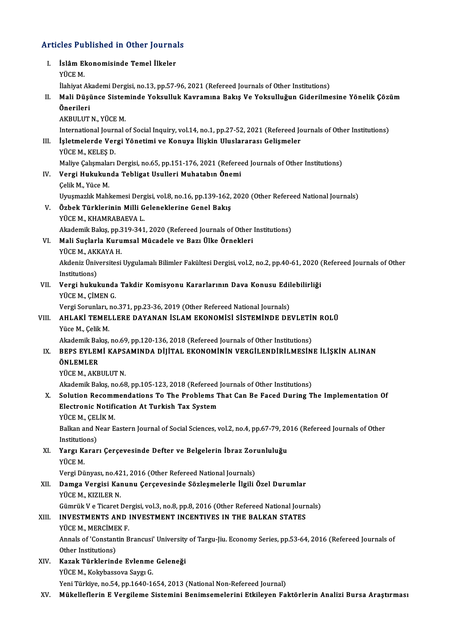# Articles Published in Other Journals

|       | <b>Articles Published in Other Journals</b>                                                                         |
|-------|---------------------------------------------------------------------------------------------------------------------|
| L     | İslâm Ekonomisinde Temel İlkeler                                                                                    |
|       | YÜCE M.                                                                                                             |
|       | İlahiyat Akademi Dergisi, no.13, pp.57-96, 2021 (Refereed Journals of Other Institutions)                           |
| П.    | Mali Düşünce Sisteminde Yoksulluk Kavramına Bakış Ve Yoksulluğun Giderilmesine Yönelik Çözüm                        |
|       | Önerileri                                                                                                           |
|       | AKBULUT N., YÜCE M.                                                                                                 |
|       | International Journal of Social Inquiry, vol.14, no.1, pp.27-52, 2021 (Refereed Journals of Other Institutions)     |
| III.  | İşletmelerde Vergi Yönetimi ve Konuya İlişkin Uluslararası Gelişmeler                                               |
|       | YÜCE M, KELEŞ D                                                                                                     |
| IV.   | Maliye Çalışmaları Dergisi, no.65, pp.151-176, 2021 (Refereed Journals of Other Institutions)                       |
|       | Vergi Hukukunda Tebligat Usulleri Muhatabın Önemi                                                                   |
|       | Çelik M., Yüce M.                                                                                                   |
|       | Uyuşmazlık Mahkemesi Dergisi, vol.8, no.16, pp.139-162, 2020 (Other Refereed National Journals)                     |
| V.    | Özbek Türklerinin Milli Geleneklerine Genel Bakış<br>YÜCE M., KHAMRABAEVA L.                                        |
|       | Akademik Bakış, pp.319-341, 2020 (Refereed Journals of Other Institutions)                                          |
| VI.   | Mali Suçlarla Kurumsal Mücadele ve Bazı Ülke Örnekleri                                                              |
|       | YÜCE M, AKKAYA H.                                                                                                   |
|       | Akdeniz Üniversitesi Uygulamalı Bilimler Fakültesi Dergisi, vol.2, no.2, pp.40-61, 2020 (Refereed Journals of Other |
|       | Institutions)                                                                                                       |
| VII.  | Vergi hukukunda Takdir Komisyonu Kararlarının Dava Konusu Edilebilirliği                                            |
|       | YÜCE M., ÇİMEN G.                                                                                                   |
|       | Vergi Sorunları, no.371, pp.23-36, 2019 (Other Refereed National Journals)                                          |
| VIII. | AHLAKİ TEMELLERE DAYANAN İSLAM EKONOMİSİ SİSTEMİNDE DEVLETİN ROLÜ                                                   |
|       | Yüce M., Çelik M.                                                                                                   |
|       | Akademik Bakış, no.69, pp.120-136, 2018 (Refereed Journals of Other Institutions)                                   |
| IX.   | BEPS EYLEMI KAPSAMINDA DIJITAL EKONOMININ VERGILENDIRILMESINE ILIŞKIN ALINAN                                        |
|       | ÖNLEMLER                                                                                                            |
|       | YUCE M. AKBULUT N.                                                                                                  |
|       | Akademik Bakış, no.68, pp.105-123, 2018 (Refereed Journals of Other Institutions)                                   |
| X.    | Solution Recommendations To The Problems That Can Be Faced During The Implementation Of                             |
|       | Electronic Notification At Turkish Tax System                                                                       |
|       | YÜCE M, ÇELİK M.                                                                                                    |
|       | Balkan and Near Eastern Journal of Social Sciences, vol.2, no.4, pp.67-79, 2016 (Refereed Journals of Other         |
|       | Institutions)                                                                                                       |
| XI.   | Yargı Kararı Çerçevesinde Defter ve Belgelerin İbraz Zorunluluğu<br>YÜCE M.                                         |
|       | Vergi Dünyası, no.421, 2016 (Other Refereed National Journals)                                                      |
| XII.  | Damga Vergisi Kanunu Çerçevesinde Sözleşmelerle İlgili Özel Durumlar                                                |
|       | YÜCE M, KIZILER N.                                                                                                  |
|       | Gümrük V e Ticaret Dergisi, vol.3, no.8, pp.8, 2016 (Other Refereed National Journals)                              |
| XIII. | INVESTMENTS AND INVESTMENT INCENTIVES IN THE BALKAN STATES                                                          |
|       | YÜCE M., MERCİMEK F.                                                                                                |
|       | Annals of 'Constantin Brancusi' University of Targu-Jiu. Economy Series, pp.53-64, 2016 (Refereed Journals of       |
|       | Other Institutions)                                                                                                 |
| XIV.  | Kazak Türklerinde Evlenme Geleneği                                                                                  |
|       | YÜCE M., Kokybassova Saygı G.                                                                                       |
|       | Yeni Türkiye, no.54, pp.1640-1654, 2013 (National Non-Refereed Journal)                                             |
| XV.   | Mükelleflerin E Vergileme Sistemini Benimsemelerini Etkileyen Faktörlerin Analizi Bursa Araştırması                 |
|       |                                                                                                                     |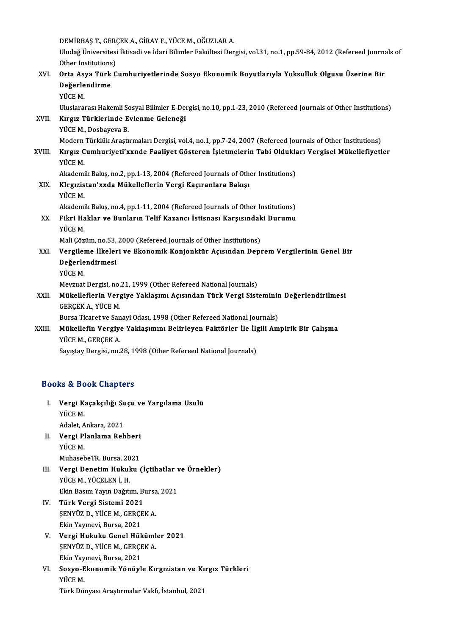DEMİRBAŞT.,GERÇEKA.,GİRAYF.,YÜCEM.,OĞUZLARA.

DEMİRBAŞ T., GERÇEK A., GİRAY F., YÜCE M., OĞUZLAR A.<br>Uludağ Üniversitesi İktisadi ve İdari Bilimler Fakültesi Dergisi, vol.31, no.1, pp.59-84, 2012 (Refereed Journals of DEMİRBAŞ T., GERÇ<br>Uludağ Üniversitesi<br>Other Institutions)<br>Onte Asya Türk G

### Uludağ Üniversitesi İktisadi ve İdari Bilimler Fakültesi Dergisi, vol.31, no.1, pp.59-84, 2012 (Refereed Journa<br>Other Institutions)<br>XVI. Orta Asya Türk Cumhuriyetlerinde Sosyo Ekonomik Boyutlarıyla Yoksulluk Olgusu Üzerine Other Institutions<br>Orta Asya Türk<br>Değerlendirme<br><sup>VÜCE M</sup> Orta As<br>Değerle<br>YÜCE M.<br><sup>Illuslara</sup> Değerlendirme<br>YÜCE M.<br>Uluslararası Hakemli Sosyal Bilimler E-Dergisi, no.10, pp.1-23, 2010 (Refereed Journals of Other Institutions)<br>Kırgız Türklerinde Evlenme Celeneği YÜCE M.<br>Uluslararası Hakemli Sosyal Bilimler E-Den<br>XVII. Kırgız Türklerinde Evlenme Geleneği<br>VÜCE M. Deshayaya B Uluslararası Hakemli S<mark>o</mark><br>Kırgız Türklerinde E<br>YÜCE M., Dosbayeva B.<br>Modern Türklük Arastı Kırgız Türklerinde Evlenme Geleneği<br>YÜCE M., Dosbayeva B.<br>Modern Türklük Araştırmaları Dergisi, vol.4, no.1, pp.7-24, 2007 (Refereed Journals of Other Institutions)<br>Kırgız Cumburiyeti'yunda Esaliyet Göstaran İslatmaların T YÜCE M., Dosbayeva B.<br>Modern Türklük Araştırmaları Dergisi, vol.4, no.1, pp.7-24, 2007 (Refereed Journals of Other Institutions)<br>XVIII. Kırgız Cumhuriyeti'xxnde Faaliyet Gösteren İşletmelerin Tabi Oldukları Vergisel Mükell Modern<br><mark>Kırgız C</mark><br>YÜCE M.<br>Akadami Kırgız Cumhuriyeti'xxnde Faaliyet Gösteren İşletmelerin Tabi Oldukla<br>YÜCE M.<br>Akademik Bakış, no.2, pp.1-13, 2004 (Refereed Journals of Other Institutions)<br>Kinsusistan'uuda Mükallaflarin Vargi Kasuranlara Bakısı YÜCE M.<br>Akademik Bakış, no.2, pp.1-13, 2004 (Refereed Journals of Othe<br>XIX. KIrgızistan'xxda Mükelleflerin Vergi Kaçıranlara Bakışı<br>YÜCE M Akademi<br><mark>KIrgızis</mark><br>YÜCE M.<br>Akademi KIrgızistan'xxda Mükelleflerin Vergi Kaçıranlara Bakışı<br>YÜCE M.<br>Akademik Bakış, no.4, pp.1-11, 2004 (Refereed Journals of Other Institutions)<br>Filmi Hoklar ve Bunların Tolif Kazansı İstianası Kazasındaki Dunumu YÜCE M.<br>Akademik Bakış, no.4, pp.1-11, 2004 (Refereed Journals of Other Institutions)<br>XX. Fikri Haklar ve Bunların Telif Kazancı İstisnası Karşısındaki Durumu<br>YÜCE M. Akademi<br><mark>Fikri Ha</mark><br>YÜCE M.<br>Mali Gör Fikri Haklar ve Bunların Telif Kazancı İstisnası Karşısındak<br>YÜCE M.<br>Mali Çözüm, no.53, 2000 (Refereed Journals of Other Institutions)<br>Versilame İlkalari ve Ekanomik Kanianktür Asısından Danı YÜCE M.<br>Mali Çözüm, no.53, 2000 (Refereed Journals of Other Institutions)<br>XXI. Vergileme İlkeleri ve Ekonomik Konjonktür Açısından Deprem Vergilerinin Genel Bir<br>Değerlendinmesi Mali Çözüm, no.53,<br>Vergileme İlkeler<br>Değerlendirmesi<br><sup>VÜCE M</sup> Vergilei<br>Değerle<br>YÜCE M.<br>Mevzuat De<mark>ğerlendirmesi</mark><br>YÜCE M.<br>Mevzuat Dergisi, no.21, 1999 (Other Refereed National Journals)<br>Mükalleflerin Vergive Yaklasımı Asısından Türk Vergi Sist YÜCE M.<br>Mevzuat Dergisi, no.21, 1999 (Other Refereed National Journals)<br>XXII. Mükelleflerin Vergiye Yaklaşımı Açısından Türk Vergi Sisteminin Değerlendirilmesi<br>CERCEK A YÜCE M Mevzuat Dergisi, no.<br><mark>Mükelleflerin Ver</mark>g<br>GERÇEK A., YÜCE M.<br>Pursa Tisaret ve San Mükelleflerin Vergiye Yaklaşımı Açısından Türk Vergi Sisteminir<br>GERÇEK A., YÜCE M.<br>Bursa Ticaret ve Sanayi Odası, 1998 (Other Refereed National Journals)<br>Mükellefin Vergiye Yaklasımını Pelirleyen Fektörler İle İlgili Am GERÇEK A., YÜCE M.<br>Bursa Ticaret ve Sanayi Odası, 1998 (Other Refereed National Journals)<br>XXIII. Mükellefin Vergiye Yaklaşımını Belirleyen Faktörler İle İlgili Ampirik Bir Çalışma<br>YÜCE M., GERÇEK A. Bursa Ticaret ve Sanayi Odası, 1998 (Other Refereed National Journals)

Sayıştay Dergisi, no.28, 1998 (Other Refereed National Journals)

#### Books&Book Chapters

- ooks & Book Chapters<br>I. Vergi Kaçakçılığı Suçu ve Yargılama Usulü<br> <sup>vüce M</sup> **Vergi K**<br>Vergi K<br>YÜCE M. Ver<mark>gi Kaçakçılığı S</mark>u<br>YÜCE M.<br>Adalet, Ankara, 2021<br>Vergi Planlama Bah Adalet, Ankara, 2021
- YÜCE M.<br>Adalet, Ankara, 2021<br>II. **Vergi Planlama Rehberi**<br>YÜCE M. MuhasebeTR, Bursa, 2021
- YÜCE M.<br>MuhasebeTR, Bursa, 2021<br>III. Vergi Denetim Hukuku (İçtihatlar ve Örnekler)<br>VÜCE M. VÜCELEN İ. H MuhasebeTR, Bursa, 20<br><mark>Vergi Denetim Hukul</mark><br>YÜCE M., YÜCELEN İ. H.<br>Ekin Basım Yayın Dağıtı Vergi Denetim Hukuku (İçtihatlar v<br>YÜCE M., YÜCELEN İ. H.<br>Ekin Basım Yayın Dağıtım, Bursa, 2021<br>Türk Vergi Sistemi 2021 YÜCE M., YÜCELEN İ. H.<br>Ekin Basım Yayın Dağıtım, Bursa<br>IV. **Türk Vergi Sistemi 2021**<br>ŞENYÜZ D., YÜCE M., GERÇEK A. Ekin Basım Yayın Dağıtım, Bursa, 2021
- Ekin Yayınevi, Bursa, 2021 SENYÜZ D., YÜCE M., GERÇEK A.<br>Ekin Yayınevi, Bursa, 2021<br>V. Vergi Hukuku Genel Hükümler 2021<br>SENYÜZ D. VÜCE M. GERCEK A.
- Ekin Yayınevi, Bursa, 2021<br>Vergi Hukuku Genel Hüküml<br>ŞENYÜZ D., YÜCE M., GERÇEK A.<br>Ekin Yayınevi, Bursa, 2021 ŞENYÜZ D., YÜCE M., GERÇEK A.<br>Ekin Yayınevi, Bursa, 2021
- ŞENYÜZ D., YÜCE M., GERÇEK A.<br>Ekin Yayınevi, Bursa, 2021<br>VI. Sosyo-Ekonomik Yönüyle Kırgızistan ve Kırgız Türkleri<br>VÜCE M Ekin Yay<br>Sosyo-<mark>E</mark><br>YÜCE M.<br>Türk Dü Sosyo-Ekonomik Yönüyle Kırgızistan ve Kı<br>YÜCE M.<br>Türk Dünyası Araştırmalar Vakfı, İstanbul, 2021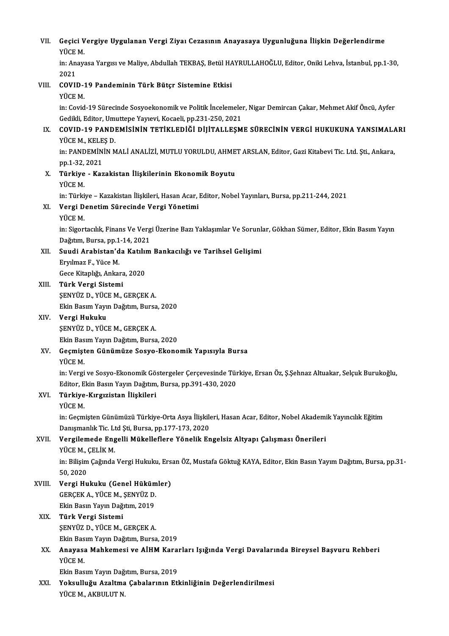| VII.   | Geçici Vergiye Uygulanan Vergi Ziyaı Cezasının Anayasaya Uygunluğuna İlişkin Değerlendirme<br>YÜCE M.                                                          |
|--------|----------------------------------------------------------------------------------------------------------------------------------------------------------------|
|        | in: Anayasa Yargısı ve Maliye, Abdullah TEKBAŞ, Betül HAYRULLAHOĞLU, Editor, Oniki Lehva, İstanbul, pp.1-30,<br>2021                                           |
| VIII.  | COVID-19 Pandeminin Türk Bütçr Sistemine Etkisi<br>YÜCE M.                                                                                                     |
|        | in: Covid-19 Sürecinde Sosyoekonomik ve Politik İncelemeler, Nigar Demircan Çakar, Mehmet Akif Öncü, Ayfer                                                     |
| IX.    | Gedikli, Editor, Umuttepe Yayıevi, Kocaeli, pp.231-250, 2021<br>COVID-19 PANDEMİSİNİN TETİKLEDİĞİ DİJİTALLEŞME SÜRECİNİN VERGİ HUKUKUNA YANSIMALARI            |
|        | YÜCE M, KELEŞ D.<br>in: PANDEMİNİN MALİ ANALİZİ, MUTLU YORULDU, AHMET ARSLAN, Editor, Gazi Kitabevi Tic. Ltd. Şti., Ankara,                                    |
| X.     | pp 1-32, 2021<br>Türkiye - Kazakistan İlişkilerinin Ekonomik Boyutu                                                                                            |
|        | YÜCE M.<br>in: Türkiye - Kazakistan İlişkileri, Hasan Acar, Editor, Nobel Yayınları, Bursa, pp.211-244, 2021                                                   |
| XI.    | Vergi Denetim Sürecinde Vergi Yönetimi<br>YÜCE M                                                                                                               |
|        | in: Sigortacılık, Finans Ve Vergi Üzerine Bazı Yaklaşımlar Ve Sorunlar, Gökhan Sümer, Editor, Ekin Basım Yayın<br>Dağıtım, Bursa, pp.1-14, 2021                |
| XII.   | Suudi Arabistan'da Katılım Bankacılığı ve Tarihsel Gelişimi                                                                                                    |
|        | Eryılmaz F, Yüce M.<br>Gece Kitaplığı, Ankara, 2020                                                                                                            |
| XIII.  | Türk Vergi Sistemi<br>ŞENYÜZ D., YÜCE M., GERÇEK A.                                                                                                            |
|        | Ekin Basım Yayın Dağıtım, Bursa, 2020                                                                                                                          |
| XIV.   | Vergi Hukuku<br>ŞENYÜZ D., YÜCE M., GERÇEK A.                                                                                                                  |
| XV.    | Ekin Basım Yayın Dağıtım, Bursa, 2020<br>Geçmişten Günümüze Sosyo-Ekonomik Yapısıyla Bursa                                                                     |
|        | YÜCE M<br>in: Vergi ve Sosyo-Ekonomik Göstergeler Çerçevesinde Türkiye, Ersan Öz, Ş.Şehnaz Altuakar, Selçuk Burukoğlu,                                         |
|        | Editor, Ekin Basın Yayın Dağıtım, Bursa, pp.391-430, 2020<br>Türkiye-Kırgızistan İlişkileri                                                                    |
| XVI.   | YÜCE M.                                                                                                                                                        |
|        | in: Geçmişten Günümüzü Türkiye-Orta Asya İlişkileri, Hasan Acar, Editor, Nobel Akademik Yayıncılık Eğitim<br>Danışmanlık Tic. Ltd Şti, Bursa, pp.177-173, 2020 |
| XVII.  | Vergilemede Engelli Mükelleflere Yönelik Engelsiz Altyapı Çalışması Önerileri<br>YÜCE M, ÇELİK M                                                               |
|        | in: Bilişim Çağında Vergi Hukuku, Ersan ÖZ, Mustafa Göktuğ KAYA, Editor, Ekin Basın Yayım Dağıtım, Bursa, pp.31-<br>50,2020                                    |
| XVIII. | Vergi Hukuku (Genel Hükümler)<br>GERÇEK A, YÜCE M, ŞENYÜZ D.                                                                                                   |
|        | Ekin Basın Yayın Dağıtım, 2019                                                                                                                                 |
| XIX.   | Türk Vergi Sistemi<br>ŞENYÜZ D., YÜCE M., GERÇEK A.                                                                                                            |
|        | Ekin Basım Yayın Dağıtım, Bursa, 2019                                                                                                                          |
| XX.    | Anayasa Mahkemesi ve AİHM Kararları Işığında Vergi Davalarında Bireysel Başvuru Rehberi<br>YÜCE M.                                                             |
|        | Ekin Basım Yayın Dağıtım, Bursa, 2019                                                                                                                          |
| XXI.   | Yoksulluğu Azaltma Çabalarının Etkinliğinin Değerlendirilmesi<br>YÜCE M., AKBULUT N.                                                                           |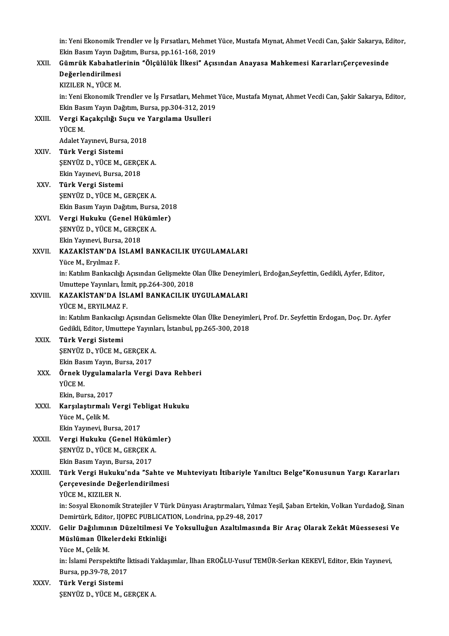in: Yeni Ekonomik Trendler ve İş Fırsatları, Mehmet Yüce, Mustafa Mıynat, Ahmet Vecdi Can, Şakir Sakarya, Editor,<br>Firin Basım Yaun Dağıtım, Burga, nn 161,169,2010 in: Yeni Ekonomik Trendler ve İş Fırsatları, Mehmet<br>Ekin Basım Yayın Dağıtım, Bursa, pp.161-168, 2019<br>Gümnük Kababatlerinin "Ölgülülük İlkesi" Asıs

### in: Yeni Ekonomik Trendler ve İş Fırsatları, Mehmet Yüce, Mustafa Mıynat, Ahmet Vecdi Can, Şakir Sakarya, Eq<br>Ekin Basım Yayın Dağıtım, Bursa, pp.161-168, 2019<br>XXII. Gümrük Kabahatlerinin "Ölçülülük İlkesi" Açısından Anayas Ekin Basım Yayın Da<br>Gümrük Kabahatle<br>Değerlendirilmesi<br>1770 ED N. YÜCE M Gümrük Kabahatlerinin "Ölçülülük İlkesi" Açısından Anayasa Mahkemesi KararlarıÇerçevesinde<br>Değerlendirilmesi<br>KIZILER N., YÜCE M. Değerlendirilmesi<br>KIZILER N., YÜCE M.<br>in: Yeni Ekonomik Trendler ve İş Fırsatları, Mehmet Yüce, Mustafa Mıynat, Ahmet Vecdi Can, Şakir Sakarya, Editor,<br>Ekin Basım Yayın Dağıtım, Burca, nn 304-312-2019 KIZILER N., YÜCE M.<br>in: Yeni Ekonomik Trendler ve İş Fırsatları, Mehmet<br>Ekin Basım Yayın Dağıtım, Bursa, pp.304-312, 2019<br>Vergi Kasaksılığı Susu ve Yargılama Haulleri in: Yeni Ekonomik Trendler ve İş Fırsatları, Mehme<br>Ekin Basım Yayın Dağıtım, Bursa, pp.304-312, 201<br>XXIII. Vergi Kaçakçılığı Suçu ve Yargılama Usulleri<br>vüce M Ekin Basım Yayın Dağıtım, Bursa, pp.304-312, 2019<br>Vergi Kaçakçılığı Suçu ve Yargılama Usulleri<br>YÜCE M.<br>Adalet Yayınevi, Bursa, 2018 Ver<mark>gi Kaçakçılığı Suçu ve</mark><br>YÜCE M.<br>Adalet Yayınevi, Bursa, 2018<br>Türk Vergi Sistemi XXIV. Türk Vergi Sistemi Adalet Yayınevi, Bursa, 2018<br>**Türk Vergi Sistemi**<br>ŞENYÜZ D., YÜCE M., GERÇEK A.<br>Elin Yayınevi, Bursa, 2018 <mark>Türk Vergi Sistemi</mark><br>ŞENYÜZ D., YÜCE M., GERÇI<br>Ekin Yayınevi, Bursa, 2018<br>Türk Vergi Sistemi Ekin Yayınevi, Bursa, 2018<br>XXV. Türk Vergi Sistemi ŞENYÜZD.,YÜCEM.,GERÇEKA. Türk Vergi Sistemi<br>ŞENYÜZ D., YÜCE M., GERÇEK A.<br>Ekin Basım Yayın Dağıtım, Bursa, 2018<br>Vergi Hukuku (Conel Hükümler) SENYÜZ D., YÜCE M., GERÇEK A.<br>Ekin Basım Yayın Dağıtım, Bursa, 201<br>XXVI. **Vergi Hukuku (Genel Hükümler)**<br>SENVÜZ D. YÜCE M. GERGEK A. Ekin Basım Yayın Dağıtım, Bursa<br>Vergi Hukuku (Genel Hüküm<br>ŞENYÜZ D., YÜCE M., GERÇEK A.<br>Ekin Yaynayi, Bursa 2018 Vergi Hukuku (Genel Hü<br>ŞENYÜZ D., YÜCE M., GERÇI<br>Ekin Yayınevi, Bursa, 2018<br>KAZAKİSTAN'DA İSLAMİ ŞENYÜZ D., YÜCE M., GERÇEK A.<br>Ekin Yayınevi, Bursa, 2018<br>XXVII. KAZAKİSTAN'DA İSLAMİ BANKACILIK UYGULAMALARI<br>Yüce M., Ervilmaz F. Ekin Yayınevi, Bursa, 2018 KAZAKİSTAN'DA İSLAMİ BANKACILIK UYGULAMALARI<br>Yüce M., Eryılmaz F.<br>in: Katılım Bankacılığı Açısından Gelişmekte Olan Ülke Deneyimleri, Erdoğan,Seyfettin, Gedikli, Ayfer, Editor,<br>Umuttana Yayınları, İsmit, nn 264, 200, 2019 Yüce M., Eryılmaz F.<br>in: Katılım Bankacılığı Açısından Gelişmekte C<br>Umuttepe Yayınları, İzmit, pp.264-300, 2018<br>KAZAKİSTAN'DA İSLAMİ PANKACU IK U XXVIII. KAZAKİSTAN'DA İSLAMİ BANKACILIK UYGULAMALARI<br>YÜCE M., ERYILMAZ F. Umuttepe Yayınları, İzmit, pp.264-300, 2018 KAZAKİSTAN'DA İSLAMİ BANKACILIK UYGULAMALARI<br>YÜCE M., ERYILMAZ F.<br>in: Katılım Bankacılıgı Açısından Gelismekte Olan Ülke Deneyimleri, Prof. Dr. Seyfettin Erdogan, Doç. Dr. Ayfer<br>Cedildi, Editor, Umuttane Yayınları, İstanbu YÜCE M., ERYILMAZ F.<br>in: Katılım Bankacılıgı Açısından Gelismekte Olan Ülke Deneyiml<br>Gedikli, Editor, Umuttepe Yayınları, İstanbul, pp.265-300, 2018<br>Türk Vergi Sistamı in: Katılım Bankacılıgı<br>Gedikli, Editor, Umutt<br>XXIX. Türk Vergi Sistemi<br>SENVÜZ D. VÜCE M Gedikli, Editor, Umuttepe Yayınla<br>**Türk Vergi Sistemi**<br>ŞENYÜZ D., YÜCE M., GERÇEK A.<br>Elin Bosun Youun Burse, 2017 <mark>Türk Vergi Sistemi</mark><br>ŞENYÜZ D., YÜCE M., GERÇEK A<br>Ekin Basım Yayın, Bursa, 2017<br>Örnek Uygulemelerle Vergi SENYÜZ D., YÜCE M., GERÇEK A.<br>Ekin Basım Yayın, Bursa, 2017<br>XXX. Örnek Uygulamalarla Vergi Dava Rehberi<br>vüce M Ekin Basım Yayın, Bursa, 2017<br>Örnek Uygulamalarla Vergi<br>YÜCE M.<br>Ekin, Bursa, 2017 Örnek Uygulama<br>YÜCE M.<br>Ekin, Bursa, 2017<br>Karsılaştıymalı V YÜCE M.<br>Ekin, Bursa, 2017<br>XXXI. Karşılaştırmalı Vergi Tebligat Hukuku<br>Vüce M. Celik M Yüce M., Çelik M.<br>Ekin Yavınevi. Bursa. 2017 Karşılaştırmalı Vergi Tel<br>Yüce M., Çelik M.<br>Ekin Yayınevi, Bursa, 2017<br>Vergi Hululuı (Cenel Hü XXXII. Vergi Hukuku (Genel Hükümler) Ekin Yayınevi, Bursa, 2017<br>Vergi Hukuku (Genel Hüküm<br>ŞENYÜZ D., YÜCE M., GERÇEK A.<br>Ekin Basım Yayın Bursa, 2017 Vergi Hukuku (Genel Hükür<br>ŞENYÜZ D., YÜCE M., GERÇEK A<br>Ekin Basım Yayın, Bursa, 2017<br>Türk Vergi Hukuku'nda "Sa ŞENYÜZ D., YÜCE M., GERÇEK A.<br>Ekin Basım Yayın, Bursa, 2017<br>XXXIII. Türk Vergi Hukuku'nda "Sahte ve Muhteviyatı İtibariyle Yanıltıcı Belge"Konusunun Yargı Kararları<br>Gerseyesinde Değerlendirilmesi Ekin Basım Yayın, Bursa, 2017<br>Türk Vergi Hukuku'nda "Sahte v<br>Çerçevesinde Değerlendirilmesi<br>Yüce M. KIZU ER N <mark>Türk Vergi Hukuk</mark><br>Çerçevesinde Değ<br>YÜCE M., KIZILER N.<br>in: Sesvel Ekonomik Çerçevesinde Değerlendirilmesi<br>YÜCE M., KIZILER N.<br>in: Sosyal Ekonomik Stratejiler V Türk Dünyası Araştırmaları, Yılmaz Yeşil, Şaban Ertekin, Volkan Yurdadoğ, Sinan<br>Demirtijak Editer, HOREC BURLICATION, Londrina, np.29.48. YÜCE M., KIZILER N.<br>in: Sosyal Ekonomik Stratejiler V Türk Dünyası Araştırmaları, Yılmaz<br>Demirtürk, Editor, IJOPEC PUBLICATION, Londrina, pp.29-48, 2017<br>Celin Değılımının Düreltilmesi Ve Yoksulluğun, Araltılmesınd in: Sosyal Ekonomik Stratejiler V Türk Dünyası Araştırmaları, Yılmaz Yeşil, Şaban Ertekin, Volkan Yurdadoğ, Sina<br>Demirtürk, Editor, IJOPEC PUBLICATION, Londrina, pp.29-48, 2017<br>XXXIV. Gelir Dağılımının Düzeltilmesi Ve Demirtürk, Editor, IJOPEC PUBLICATION, Londrina, pp.29-48, 2017<br>Gelir Dağılımının Düzeltilmesi Ve Yoksulluğun Azaltılmasını<br>Müslüman Ülkelerdeki Etkinliği<br>Yüce M., Çelik M. Gelir Dağılımının Düzeltilmesi Ve Yoksulluğun Azaltılmasında Bir Araç Olarak Zekât Müessesesi Ve Müslüman Ülkelerdeki Etkinliği<br>Yüce M., Çelik M.<br>in: İslami Perspektifte İktisadi Yaklaşımlar, İlhan EROĞLU-Yusuf TEMÜR-Serkan KEKEVİ, Editor, Ekin Yayınevi,<br>Pursa pp.20.78.2017 Yüce M., Çelik M.<br>in: İslami Perspektifte İ<br>Bursa, pp.39-78, 2017<br>Türk Vergi Sistemi in: İslami Perspektifte<br>Bursa, pp.39-78, 2011<br>XXXV. Türk Vergi Sistemi<br>SENVÜZ D. VÜCE M Bursa, pp.39-78, 2017<br>Türk Vergi Sistemi<br>ŞENYÜZ D., YÜCE M., GERÇEK A.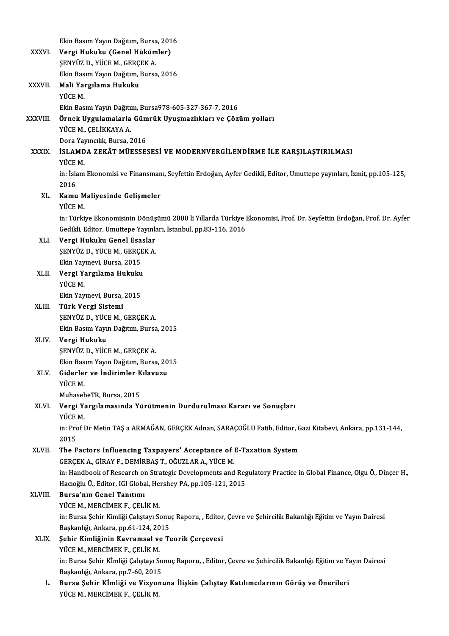|              | Ekin Basım Yayın Dağıtım, Bursa, 2016                                                                               |
|--------------|---------------------------------------------------------------------------------------------------------------------|
| <b>XXXVI</b> | Vergi Hukuku (Genel Hükümler)                                                                                       |
|              | ŞENYÜZ D., YÜCE M., GERÇEK A.                                                                                       |
|              | Ekin Basım Yayın Dağıtım, Bursa, 2016                                                                               |
| XXXVII.      | Mali Yargılama Hukuku                                                                                               |
|              | YÜCE M.                                                                                                             |
|              | Ekin Basım Yayın Dağıtım, Bursa978-605-327-367-7, 2016                                                              |
| XXXVIII.     | Örnek Uygulamalarla Gümrük Uyuşmazlıkları ve Çözüm yolları                                                          |
|              | YÜCE M, ÇELİKKAYA A.                                                                                                |
|              | Dora Yayıncılık, Bursa, 2016                                                                                        |
| <b>XXXIX</b> | İSLAMDA ZEKÂT MÜESSESESİ VE MODERNVERGİLENDİRME İLE KARŞILAŞTIRILMASI                                               |
|              | YÜCE M.                                                                                                             |
|              | in: İslam Ekonomisi ve Finansmanı, Seyfettin Erdoğan, Ayfer Gedikli, Editor, Umuttepe yayınları, İzmit, pp.105-125, |
|              | 2016                                                                                                                |
| XL.          | Kamu Maliyesinde Gelişmeler                                                                                         |
|              | YÜCE M                                                                                                              |
|              | in: Türkiye Ekonomisinin Dönüşümü 2000 li Yıllarda Türkiye Ekonomisi, Prof. Dr. Seyfettin Erdoğan, Prof. Dr. Ayfer  |
|              | Gedikli, Editor, Umuttepe Yayınları, İstanbul, pp.83-116, 2016                                                      |
| XLI.         | Vergi Hukuku Genel Esaslar                                                                                          |
|              | ŞENYÜZ D., YÜCE M., GERÇEK A.                                                                                       |
|              | Ekin Yayınevi, Bursa, 2015                                                                                          |
| XLII.        | Vergi Yargılama Hukuku                                                                                              |
|              | YÜCE M.                                                                                                             |
|              | Ekin Yayınevi, Bursa, 2015                                                                                          |
| XLIII.       | Türk Vergi Sistemi                                                                                                  |
|              | SENYÜZ D., YÜCE M., GERÇEK A.                                                                                       |
|              | Ekin Basım Yayın Dağıtım, Bursa, 2015                                                                               |
| XLIV.        | Vergi Hukuku                                                                                                        |
|              | SENYÜZ D., YÜCE M., GERÇEK A.                                                                                       |
|              | Ekin Basım Yayın Dağıtım, Bursa, 2015                                                                               |
| XLV.         | Giderler ve İndirimler Kılavuzu                                                                                     |
|              | YÜCE M                                                                                                              |
|              | MuhasebeTR, Bursa, 2015                                                                                             |
| XLVI.        | Vergi Yargılamasında Yürütmenin Durdurulması Kararı ve Sonuçları                                                    |
|              | YÜCE M.                                                                                                             |
|              | in: Prof Dr Metin TAŞ a ARMAĞAN, GERÇEK Adnan, SARAÇOĞLU Fatih, Editor, Gazi Kitabevi, Ankara, pp.131-144,          |
|              | 2015                                                                                                                |
| XLVII.       | The Factors Influencing Taxpayers' Acceptance of E-Taxation System                                                  |
|              | GERÇEK A., GİRAY F., DEMİRBAŞ T., OĞUZLAR A., YÜCE M.                                                               |
|              | in: Handbook of Research on Strategic Developments and Regulatory Practice in Global Finance, Olgu Ö., Dinçer H.,   |
|              | Hacıoğlu Ü., Editor, IGI Global, Hershey PA, pp.105-121, 2015                                                       |
| XLVIII.      | Bursa'nın Genel Tanıtımı                                                                                            |
|              | YÜCE M., MERCIMEK F., ÇELİK M.                                                                                      |
|              | in: Bursa Şehir Kimliği Çalıştayı Sonuç Raporu, , Editor, Çevre ve Şehircilik Bakanlığı Eğitim ve Yayın Dairesi     |
|              | Başkanlığı, Ankara, pp 61-124, 2015                                                                                 |
| <b>XLIX</b>  | Şehir Kimliğinin Kavramsal ve Teorik Çerçevesi                                                                      |
|              | YUCE M., MERCIMEK F., ÇELİK M.                                                                                      |
|              | in: Bursa Şehir Kİmliği Çalıştayı Sonuç Raporu, , Editor, Çevre ve Şehircilik Bakanlığı Eğitim ve Yayın Dairesi     |
|              | Başkanlığı, Ankara, pp.7-60, 2015                                                                                   |
| L.           | Bursa Şehir Kİmliği ve Vizyonuna İlişkin Çalıştay Katılımcılarının Görüş ve Önerileri                               |
|              | YÜCE M., MERCIMEK F., ÇELİK M.                                                                                      |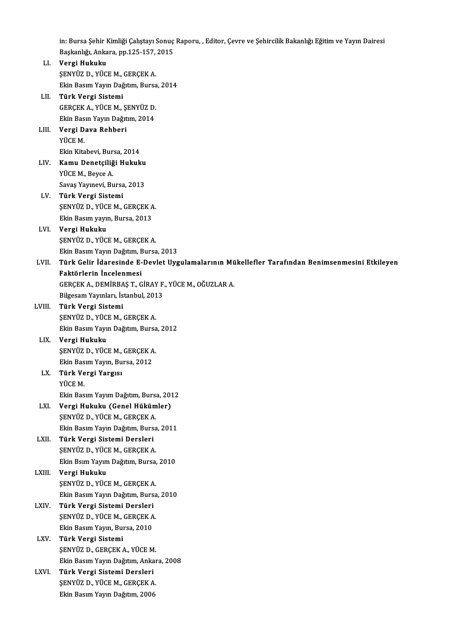in: Bursa Şehir Kimliği Çalıştayı Sonuç Raporu, , Editor, Çevre ve Şehircilik Bakanlığı Eğitim ve Yayın Dairesi<br>Baskanlığı, Ankara, pp.135,157,2015 in: Bursa Şehir Kimliği Çalıştayı Sonuç<br>Başkanlığı, Ankara, pp.125-157, 2015<br>Vengi Hulmlm Başkanlığı, Ankara, pp.125-157, 2015

LI. Vergi Hukuku Ekin Basım Yayın Dağıtım, Bursa, 2014 LII. Türk Vergi Sistemi Ekin Basım Yayın Dağıtım, Bursa<br><mark>Türk Vergi Sistemi</mark><br>GERÇEK A., YÜCE M., ŞENYÜZ D.<br>Ekin Basın Yayın Dağıtım 2014 Türk Vergi Sistemi<br>GERÇEK A., YÜCE M., ŞENYÜZ D.<br>Ekin Basın Yayın Dağıtım, 2014<br>Vergi Daya Bahhari GERÇEK A., YÜCE M., Ş.<br>Ekin Basın Yayın Dağıt<br>LIII. **Vergi Dava Rehberi**<br>YÜCE M Ekin Bas<br><mark>Vergi D</mark><br>YÜCE M.<br>Ekin *Vit*a <mark>Vergi Dava Rehberi</mark><br>YÜCE M.<br>Ekin Kitabevi, Bursa, 2014<br>Kamu Danatsiliği Huluy<sup>l</sup>ı YÜCE M.<br>Ekin Kitabevi, Bursa, 2014<br>LIV. **Kamu Denetçiliği Hukuku**<br>YÜCE M., Beyce A. Ekin Kitabevi, Bur<br><mark>Kamu Denetçiliğ</mark><br>YÜCE M., Beyce A.<br>Savas Yaynayi, Bu Savaş Yayınevi, Bursa, 2013 LV. Türk Vergi Sistemi Savaş Yayınevi, Bursa, 2013<br>Türk Vergi Sistemi<br>ŞENYÜZ D., YÜCE M., GERÇEK A.<br>Elin Bosun yayın, Bursa, 2012 Türk Vergi Sistemi<br>ŞENYÜZ D., YÜCE M., GERÇEK A<br>Ekin Basım yayın, Bursa, 2013<br>Vergi Hulmlm Ekin Basım yayın, Bursa, 2013<br>LVI. **Vergi Hukuku** ŞENYÜZD.,YÜCEM.,GERÇEKA. Vergi Hukuku<br>ŞENYÜZ D., YÜCE M., GERÇEK A.<br>Ekin Basım Yayın Dağıtım, Bursa, 2013<br>Türk Celin İdanesinde E. Devlet Uya LVII. Türk Gelir İdaresinde E-Devlet Uygulamalarının Mükellefler Tarafından Benimsenmesini Etkileyen<br>Faktörlerin İncelenmesi Ekin Basım Yayın Dağıtım, E<br>Türk Gelir İdaresinde E-<br>Faktörlerin İncelenmesi<br>CERCEK A DEMİRRAST C Türk Gelir İdaresinde E-Devlet Uygulamalarının Mü<br>Faktörlerin İncelenmesi<br>GERÇEK A., DEMİRBAŞ T., GİRAY F., YÜCE M., OĞUZLAR A.<br>Bilgesam Yaunları İstanbul 2012 Faktörlerin İncelenmesi<br>GERÇEK A., DEMİRBAŞ T., GİRAY F.<br>Bilgesam Yayınları, İstanbul, 2013<br>Türk Vergi Sistami LVIII. Türk Vergi Sistemi<br>ŞENYÜZ D., YÜCE M., GERÇEK A. Bilgesam Yayınları, İstanbul, 2013 Ekin Basım Yayın Dağıtım, Bursa, 2012 LIX. Vergi Hukuku Ekin Basım Yayın Dağıtım, Bursa<br><mark>Vergi Hukuku</mark><br>ŞENYÜZ D., YÜCE M., GERÇEK A.<br>Ekin Basım Yayın, Bursa, 2012 Vergi Hukuku<br>ŞENYÜZ D., YÜCE M., GERÇEK A<br>Ekin Basım Yayın, Bursa, 2012<br>Türk Vergi Yergisı LX. Türk Vergi Yargısı Ekin Basım Yayın, Bursa, 2012 Türk Vergi Yargısı<br>YÜCE M.<br>Ekin Basım Yayım Dağıtım, Bursa, 2012<br>Vergi Hukuku (Cenel Hükümler) YÜCE M.<br>Ekin Basım Yayım Dağıtım, Bursa, 201<br>LXI. Vergi Hukuku (Genel Hükümler)<br>SENVÜZ D. VÜCE M. GERGEK A Ekin Basım Yayım Dağıtım, Burs.<br>Vergi H<mark>ukuku (Genel Hüküm</mark><br>ŞENYÜZ D., YÜCE M., GERÇEK A.<br>Ekin Basım Yayın Doğutım Bursa Vergi Hukuku (Genel Hükümler)<br>ŞENYÜZ D., YÜCE M., GERÇEK A.<br>Ekin Basım Yayın Dağıtım, Bursa, 2011<br>Türk Vergi Sistami Daralari ŞENYÜZ D., YÜCE M., GERÇEK A.<br>Ekin Basım Yayın Dağıtım, Bursa, 2011<br>LXII. Türk Vergi Sistemi Dersleri ŞENYÜZ D., YÜCE M., GERÇEK A. Ekin Bsım Yayım Dağıtım, Bursa, 2010 LXIII. Vergi Hukuku ŞENYÜZD.,YÜCEM.,GERÇEKA. Vergi Hukuku<br>ŞENYÜZ D., YÜCE M., GERÇEK A.<br>Ekin Basım Yayın Dağıtım, Bursa, 2010<br>Türk Vergi Sistemi Dersleri SENYÜZ D., YÜCE M., GERÇEK A<br>Ekin Basım Yayın Dağıtım, Burs<br>LXIV. Türk Vergi Sistemi Dersleri<br>SENYÜZ D. YÜCE M. GERCEK A Ekin Basım Yayın Dağıtım, Bursa<br><mark>Türk Vergi Sistemi Dersleri</mark><br>ŞENYÜZ D., YÜCE M., GERÇEK A.<br>Ekin Basım Yayın, Bursa, 2010 Türk Vergi Sistemi Dersleri<br>ŞENYÜZ D., YÜCE M., GERÇEK A<br>Ekin Basım Yayın, Bursa, 2010<br>Türk Vergi Sistemi ŞENYÜZ D., YÜCE M., GERÇEK A.<br>Ekin Basım Yayın, Bursa, 2010<br>LXV. **Türk Vergi Sistemi** Ekin Basım Yayın, Bursa, 2010<br><mark>Türk Vergi Sistemi</mark><br>ŞENYÜZ D., GERÇEK A., YÜCE M.<br>Ekin Basım Yayın Dağıtım, Ankal Türk Vergi Sistemi<br>ŞENYÜZ D., GERÇEK A., YÜCE M.<br>Ekin Basım Yayın Dağıtım, Ankara, 2008<br>Türk Vergi Sistemi Dereleri SENYÜZ D., GERÇEK A., YÜCE M<br>Ekin Basım Yayın Dağıtım, Anka<br>LXVI. — Türk Vergi Sistemi Dersleri<br>SENYÜZ D., YÜCE M. GERCEK A Ekin Basım Yayın Dağıtım, Ankar<br><mark>Türk Vergi Sistemi Dersleri</mark><br>ŞENYÜZ D., YÜCE M., GERÇEK A.<br>Ekin Basım Yayın Dağıtım, 2006 Türk Vergi Sistemi Dersleri<br>ŞENYÜZ D., YÜCE M., GERÇEK A.<br>Ekin Basım Yayın Dağıtım, 2006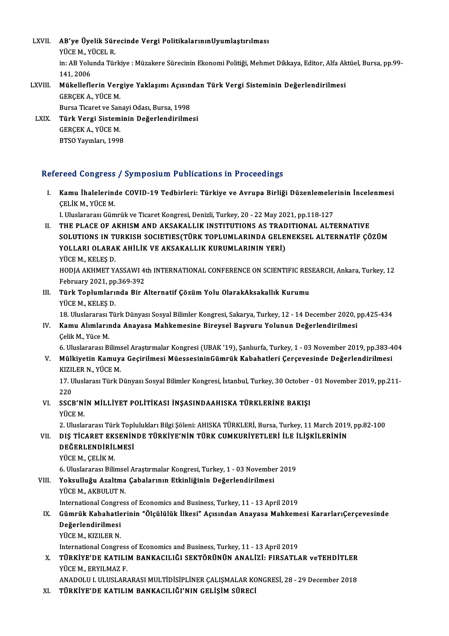LXVII. AB'ye Üyelik Sürecinde Vergi PolitikalarınınUyumlaştırılması<br>VÜCE M, YÜCEL P **AB'ye Üyelik Sür<br>YÜCE M., YÜCEL R.<br>in: AB Yelunde Tür** in: AB Yolunda Türkiye : Müzakere Sürecinin Ekonomi Politiği, Mehmet Dikkaya, Editor, Alfa Aktüel, Bursa, pp.99-<br>141. 2006 YÜCE M., YÜCEL R. in: AB Yolunda Türkiye : Müzakere Sürecinin Ekonomi Politiği, Mehmet Dikkaya, Editor, Alfa Ak<br>141, 2006<br>LXVIII. Mükelleflerin Vergiye Yaklaşımı Açısından Türk Vergi Sisteminin Değerlendirilmesi

141, 2006<br>Mükelleflerin Verg<br>GERÇEK A., YÜCE M.<br>Bursa Tisaret ve San Mükelleflerin Vergiye Yaklaşımı Açısın<br>GERÇEK A., YÜCE M.<br>Bursa Ticaret ve Sanayi Odası, Bursa, 1998<br>Türk Vergi Sisteminin Değerlendirilme GERÇEK A., YÜCE M.<br>Bursa Ticaret ve Sanayi Odası, Bursa, 1998<br>LXIX. Türk Vergi Sisteminin Değerlendirilmesi<br>CERCEK A. VÜCE M

Bursa Ticaret ve Sanayi Odası, Bursa, 1998<br>Türk Vergi Sisteminin Değerlendirilme<br>GERÇEK A., YÜCE M.<br>BTSO Yayınları, 1998 Türk Vergi Sistemir<br>GERÇEK A., YÜCE M.<br>BTSO Yayınları, 1998

### Refereed Congress / Symposium Publications in Proceedings

efereed Congress / Symposium Publications in Proceedings<br>I. Kamu İhalelerinde COVID-19 Tedbirleri: Türkiye ve Avrupa Birliği Düzenlemelerinin İncelenmesi<br>CELİKM VÜCEM room dongroom<br>Kamu İhalelerine<br>ÇELİK M., YÜCE M. ÇELİK M., YÜCE M.<br>I. Uluslararası Gümrük ve Ticaret Kongresi, Denizli, Turkey, 20 - 22 May 2021, pp.118-127

- CELIK M., YÜCE M.<br>I. Uluslararası Gümrük ve Ticaret Kongresi, Denizli, Turkey, 20 22 May 2021, pp.118-127<br>II. THE PLACE OF AKHISM AND AKSAKALLIK INSTITUTIONS AS TRADITIONAL ALTERNATIVE<br>SOLUTIONS IN TURKISH SOCIETIES I. Uluslararası Gümrük ve Ticaret Kongresi, Denizli, Turkey, 20 - 22 May 2021, pp.118-127<br>THE PLACE OF AKHISM AND AKSAKALLIK INSTITUTIONS AS TRADITIONAL ALTERNATIVE<br>SOLUTIONS IN TURKISH SOCIETIES(TÜRK TOPLUMLARINDA GELENEK THE PLACE OF AKHISM AND AKSAKALLIK INSTITUTIONS AS TRAD<br>SOLUTIONS IN TURKISH SOCIETIES(TÜRK TOPLUMLARINDA GELE<br>YOLLARI OLARAK AHİLİK VE AKSAKALLIK KURUMLARININ YERİ)<br>VÜCEM KELES D SOLUTIONS IN TH<br>YOLLARI OLARA<br>YÜCE M., KELEŞ D.<br>HODLA AKHMET V. YOLLARI OLARAK AHİLİK VE AKSAKALLIK KURUMLARININ YERİ)<br>YÜCE M., KELEŞ D.<br>HODJA AKHMET YASSAWI 4th INTERNATIONAL CONFERENCE ON SCIENTIFIC RESEARCH, Ankara, Turkey, 12<br>February 2021, pp.269, 292 YÜCE M., KELEŞ D.<br>HODJA AKHMET YASSAWI 4:<br>February 2021, pp.369-392<br>Türk Toplumlarında Bir 4
- HODJA AKHMET YASSAWI 4th INTERNATIONAL CONFERENCE ON SCIENTIFIC RES<br>February 2021, pp.369-392<br>III. Türk Toplumlarında Bir Alternatif Çözüm Yolu OlarakAksakallık Kurumu<br>VÜCEM KELES D February 2021, pp<br>**Türk Toplumları**<br>YÜCE M., KELEŞ D.<br>19. Uluslararası Tü

18. Uluslararası Türk Dünyası Sosyal Bilimler Kongresi, Sakarya, Turkey, 12 - 14 December 2020, pp.425-434<br>18. Uluslararası Türk Dünyası Sosyal Bilimler Kongresi, Sakarya, Turkey, 12 - 14 December 2020, pp.425-434

# YÜCE M., KELEŞ D.<br>18. Uluslararası Türk Dünyası Sosyal Bilimler Kongresi, Sakarya, Turkey, 12 - 14 December 2020, <sub>I</sub><br>IV. Kamu Alımlarında Anayasa Mahkemesine Bireysel Başvuru Yolunun Değerlendirilmesi<br>Celik M. Yüse M 18. Uluslararası<br>**Kamu Alımlarıı**<br>Çelik M., Yüce M.<br>6. Uluslararası B.

Çelik M., Yüce M.<br>6. Uluslararası Bilimsel Araştırmalar Kongresi (UBAK '19), Şanlıurfa, Turkey, 1 - 03 November 2019, pp.383-404

Çelik M., Yüce M.<br>6. Uluslararası Bilimsel Araştırmalar Kongresi (UBAK '19), Şanlıurfa, Turkey, 1 - 03 November 2019, pp.383-4<br>7. Mülkiyetin Kamuya Geçirilmesi MüessesininGümrük Kabahatleri Çerçevesinde Değerlendirilmesi<br>7 6. Uluslararası Bilims<br>Mülkiyetin Kamuy<br>KIZILER N., YÜCE M.<br>17. Uluslarası Türk E Mülkiyetin Kamuya Geçirilmesi MüessesininGümrük Kabahatleri Çerçevesinde Değerlendirilmesi<br>KIZILER N., YÜCE M.<br>17. Uluslarası Türk Dünyası Sosyal Bilimler Kongresi, İstanbul, Turkey, 30 October - 01 November 2019, pp.211-<br>

KIZILER N., YÜCE M.<br>17. Uluslarası Türk Dünyası Sosyal Bilimler Kongresi, İstanbul, Turkey, 30 October - 01 November 2019, pp.211-<br>220 17. Uluslarası Türk Dünyası Sosyal Bilimler Kongresi, İstanbul, Turkey, 30 October<br>220<br>VI. SSCB'NİN MİLLİYET POLİTİKASI İNŞASINDAAHISKA TÜRKLERİNE BAKIŞI<br>VÜCE M

# 220<br>SSCB'NI<br>YÜCE M.<br>2. Uluele

2.UluslararasıTürkTopluluklarıBilgiŞöleni:AHISKATÜRKLERİ,Bursa,Turkey,11March 2019,pp.82-100

VI . DIŞ TİCARET EKSENİNDE TÜRKİYE'NİN TÜRK CUMKURİYETLERİ İLE İLİŞKİLERİNİN 2. Uluslararası Türk Topl<br>DIŞ TİCARET EKSENİN<br>DEĞERLENDİRİLMESİ<br><sup>VÜCE M</sup>-CELİK M DIŞ <mark>TİCARET EK:</mark><br>DEĞERLENDİRİL<br>YÜCE M., ÇELİK M.<br>6. Uluslanarası Bili **DEĞERLENDİRİLMESİ**<br>YÜCE M., ÇELİK M.<br>6. Uluslararası Bilimsel Araştırmalar Kongresi, Turkey, 1 - 03 November 2019

# YÜCE M., ÇELİK M.<br>6. Uluslararası Bilimsel Araştırmalar Kongresi, Turkey, 1 - 03 Novembe<br>VIII. Yoksulluğu Azaltma Çabalarının Etkinliğinin Değerlendirilmesi<br>VIICE M. AKRIH UT N 6. Uluslararası Bilimse<br>Yoksulluğu Azaltma<br>YÜCE M., AKBULUT N.<br>International Congres Yoksulluğu Azaltma Çabalarının Etkinliğinin Değerlendirilmesi<br>YÜCE M., AKBULUT N.<br>International Congress of Economics and Business, Turkey, 11 - 13 April 2019<br>Cümrük Kababatlarinin "Ölgülülük İlkesi" Asısından Anayasa Mabk

## YÜCE M., AKBULUT N.<br>International Congress of Economics and Business, Turkey, 11 - 13 April 2019<br>IX. Gümrük Kabahatlerinin "Ölçülülük İlkesi" Açısından Anayasa Mahkemesi KararlarıÇerçevesinde<br>Değerlendirilmesi International Congre<br>Gümrük Kabahatle<br>Değerlendirilmesi<br><sup>VÜCE M. KIZILED N.</sup> Gümrük Kabahatle<br>Değerlendirilmesi<br>YÜCE M., KIZILER N.<br>International Congre Değerlendirilmesi<br>International Congress of Economics and Business, Turkey, 11 - 13 April 2019<br>International Congress of Economics and Business, Turkey, 11 - 13 April 2019

YÜCE M., KIZILER N.<br>International Congress of Economics and Business, Turkey, 11 - 13 April 2019<br>X. – TÜRKİYE'DE KATILIM BANKACILIĞI SEKTÖRÜNÜN ANALİZİ: FIRSATLAR veTEHDİTLER<br>VÜCE M. ERVILMAZ E International Congress<br>**TÜRKİYE'DE KATILI**<br>YÜCE M., ERYILMAZ F.<br>ANADOLILL IILIELAR. TÜRKİYE'DE KATILIM BANKACILIĞI SEKTÖRÜNÜN ANALİZİ: FIRSATLAR veTEHDİTLER<br>YÜCE M., ERYILMAZ F.<br>ANADOLU I. ULUSLARARASI MULTİDİSİPLİNER ÇALIŞMALAR KONGRESİ, 28 - 29 December 2018<br>TÜRKIYE'DE KATILIM BANKACILIĞI'NIN GELİSIM SÜ

YÜCE M., ERYILMAZ F.<br>ANADOLU I. ULUSLARARASI MULTIDISIPLINER ÇALIŞMALAR KONGRESİ, 28 - 29 December 2018<br>XI. TÜRKİYE'DE KATILIM BANKACILIĞI'NIN GELİŞİM SÜRECİ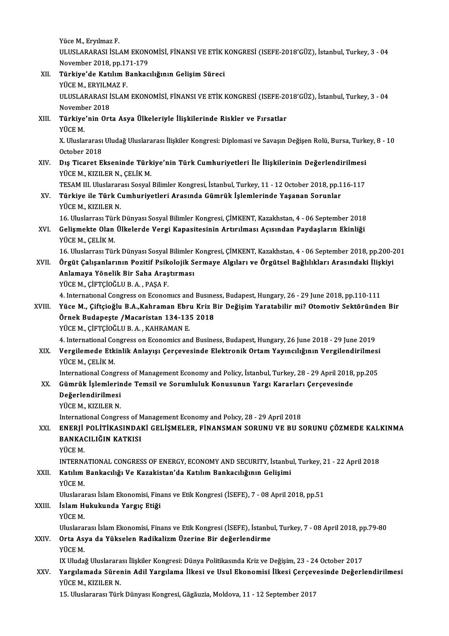Yüce M., Eryılmaz F. Yüce M., Eryılmaz F.<br>ULUSLARARASI İSLAM EKONOMİSİ, FİNANSI VE ETİK KONGRESİ (ISEFE-2018'GÜZ), İstanbul, Turkey, 3 - 04<br>Navambar 3018, pp.171,179 Yüce M., Eryılmaz F.<br>ULUSLARARASI İSLAM EKON<br>November 2018, pp.171-179<br>Türkiye'de Katılım Bankas ULUSLARARASI İSLAM EKONOMİSİ, FİNANSI VE ETİK I<br>November 2018, pp.171-179<br>XII. Türkiye'de Katılım Bankacılığının Gelişim Süreci<br>VÜCEM, EPVILMAZ E

November 2018, pp.17<br><mark>Türkiye'de Katılım B</mark><br>YÜCE M., ERYILMAZ F.<br>III IISI APAPASI İSI AM Türkiye'de Katılım Bankacılığının Gelişim Süreci<br>YÜCE M., ERYILMAZ F.<br>ULUSLARARASI İSLAM EKONOMİSİ, FİNANSI VE ETİK KONGRESİ (ISEFE-2018'GÜZ), İstanbul, Turkey, 3 - 04<br>Navambar 2019 YÜCE M., ERYILM<br>ULUSLARARASI İ<br>November 2018<br>Türkive'nin Ort ULUSLARARASI İSLAM EKONOMİSİ, FİNANSI VE ETİK KONGRESİ (ISEFE-20<br>November 2018<br>XIII. Türkiye'nin Orta Asya Ülkeleriyle İlişkilerinde Riskler ve Fırsatlar<br>VÜCE M Novemb<br><mark>Türkiye</mark><br>YÜCE M.<br>Y. Ulusla Türkiye'nin Orta Asya Ülkeleriyle İlişkilerinde Riskler ve Fırsatlar<br>YÜCE M.<br>X. Uluslararası Uludağ Uluslararası İlişkiler Kongresi: Diplomasi ve Savaşın Değişen Rolü, Bursa, Turkey, 8 - 10 YÜCE M.<br>X. Uluslararası<br>October 2018<br>Dıs Tisarat E X. Uluslararası Uludağ Uluslararası İlişkiler Kongresi: Diplomasi ve Savaşın Değişen Rolü, Bursa, Turk<br>October 2018<br>XIV. Dış Ticaret Ekseninde Türkiye'nin Türk Cumhuriyetleri İle İlişkilerinin Değerlendirilmesi<br>VÜCE M. KIZ October 2018<br>XIV. Dış Ticaret Ekseninde Türkiye'nin Türk Cumhuriyetleri İle İlişkilerinin Değerlendirilmesi<br>YÜCEM., KIZILERN., ÇELİKM. Dış Ticaret Ekseninde Türkiye'nin Türk Cumhuriyetleri İle İlişkilerinin Değerlendirilmesi<br>YÜCE M., KIZILER N., ÇELİK M.<br>TESAM III. Uluslararası Sosyal Bilimler Kongresi, İstanbul, Turkey, 11 - 12 October 2018, pp.116-117<br>T YÜCE M., KIZILER N., ÇELİK M.<br>TESAM III. Uluslararası Sosyal Bilimler Kongresi, İstanbul, Turkey, 11 - 12 October 2018, pp.1<br>XV. Türkiye ile Türk Cumhuriyetleri Arasında Gümrük İşlemlerinde Yaşanan Sorunlar<br>yüce M. Kız TESAM III. Uluslarar:<br><mark>Türkiye ile Türk C</mark><br>YÜCE M., KIZILER N.<br>16 Uluslarrası Türk 16. Türkiye ile Türk Cumhuriyetleri Arasında Gümrük İşlemlerinde Yaşanan Sorunlar<br>16. YÜCE M., KIZILER N.<br>16. Uluslarrası Türk Dünyası Sosyal Bilimler Kongresi, ÇİMKENT, Kazakhstan, 4 - 06 September 2018 YÜCE M., KIZILER N.<br>16. Uluslarrası Türk Dünyası Sosyal Bilimler Kongresi, ÇİMKENT, Kazakhstan, 4 - 06 September 2018<br>XVI. Gelişmekte Olan Ülkelerde Vergi Kapasitesinin Artırılması Açısından Paydaşların Ekinliği<br>YÜCE M 16. Uluslarrası Tür<br>Gelişmekte Olan<br>YÜCE M., ÇELİK M.<br>16. Uluslarrası Tür Gelişmekte Olan Ülkelerde Vergi Kapasitesinin Artırılması Açısından Paydaşların Ekinliği<br>YÜCE M., ÇELİK M.<br>16. Uluslarrası Türk Dünyası Sosyal Bilimler Kongresi, ÇİMKENT, Kazakhstan, 4 - 06 September 2018, pp.200-201<br>Öngüt YÜCE M., ÇELİK M.<br>16. Uluslarrası Türk Dünyası Sosyal Bilimler Kongresi, ÇİMKENT, Kazakhstan, 4 - 06 September 2018, pp.200-2<br>XVII. Örgüt Çalışanlarının Pozitif Psikolojik Sermaye Algıları ve Örgütsel Bağlılıkları Aras 16. Uluslarrası Türk Dünyası Sosyal Bilimler<br>Örgüt Çalışanlarının Pozitif Psikolojik S<br>Anlamaya Yönelik Bir Saha Araştırması<br>Yüce M. Gietcioğuu B.A., BASA E XVII. Örgüt Çalışanlarının Pozitif Psikolojik Sermaye Algıları ve Örgütsel Bağlılıkları Arasındaki İlişkiyi<br>Anlamaya Yönelik Bir Saha Araştırması<br>YÜCEM., ÇİFTÇİOĞLU B.A. , PAŞA F. Anlamaya Yönelik Bir Saha Araştırması<br>YÜCE M., ÇİFTÇİOĞLU B. A. , PAŞA F.<br>4. International Congress on Economics and Business, Budapest, Hungary, 26 - 29 June 2018, pp.110-111<br>Yüce M., Ciftejoğlu B.A. Kohraman Ehru Kriz Bi YÜCE M., ÇİFTÇİOĞLU B. A. , PAŞA F.<br>4. International Congress on Economics and Business, Budapest, Hungary, 26 - 29 June 2018, pp.110-111<br>2011. Yüce M., Çiftçioğlu B.A.,Kahraman Ebru Kriz Bir Değişim Yaratabilir mi? Ot 4. International Congress on Economics and Busine<br>Yüce M., Çiftçioğlu B.A.,Kahraman Ebru Kriz B<br>Örnek Budapeşte /Macaristan 134-135 2018<br>VÜCE M. CİETCİOĞLU B.A., KAHRAMAN E Yüce M., Çiftçioğlu B.A.,Kahraman Ebr<br>Örnek Budapeşte /Macaristan 134-13!<br>YÜCE M., ÇİFTÇİOĞLU B.A., KAHRAMAN E.<br>4. International Congress on Esenemiss en Örnek Budapeşte /Macaristan 134-135 2018<br>YÜCE M., ÇİFTÇİOĞLU B. A. , KAHRAMAN E.<br>4. International Congress on Economics and Business, Budapest, Hungary, 26 June 2018 - 29 June 2019 YÜCE M., ÇİFTÇİOĞLU B. A. , KAHRAMAN E.<br>4. International Congress on Economics and Business, Budapest, Hungary, 26 June 2018 - 29 June 2019<br>XIX. Vergilemede Etkinlik Anlayışı Çerçevesinde Elektronik Ortam Yayıncılığını 4. International Co<br>Vergilemede Etk<br>YÜCE M., ÇELİK M.<br>International Cong Vergilemede Etkinlik Anlayışı Çerçevesinde Elektronik Ortam Yayıncılığının Vergilendirilmesi<br>YÜCE M., ÇELİK M.<br>International Congress of Management Economy and Policy, İstanbul, Turkey, 28 - 29 April 2018, pp.205<br>Cümrük İs YÜCE M., ÇELİK M.<br>International Congress of Management Economy and Policy, İstanbul, Turkey, 28 - 29 April 2018,<br>XX. Gümrük İşlemlerinde Temsil ve Sorumluluk Konusunun Yargı Kararları Çerçevesinde<br>Değerlendirilmesi International Congre<br>Gümrük İşlemlerin<br>Değerlendirilmesi<br>VÜCE M. KIZILED N Gümrük İşlemlerin<br>Değerlendirilmesi<br>YÜCE M., KIZILER N.<br>International Congre De<mark>ğerlendirilmesi</mark><br>YÜCE M., KIZILER N.<br>International Congress of Management Economy and Polıcy, 28 - 29 April 2018<br>ENERLI POLİTİKASINDAKİ CELİSMELER, FİNANSMAN SORUNU VE BU S YÜCE M., KIZILER N.<br>International Congress of Management Economy and Policy, 28 - 29 April 2018<br>XXI. ENERJİ POLİTİKASINDAKİ GELİŞMELER, FİNANSMAN SORUNU VE BU SORUNU ÇÖZMEDE KALKINMA<br>RANKACU JÖJN KATKISI International Congress of M<br>ENERJİ POLİTİKASINDAI<br>BANKACILIĞIN KATKISI<br>VÜCE M <mark>ENERJİ</mark><br>BANKA<br>YÜCE M.<br>INTERN BANKACILIĞIN KATKISI<br>YÜCE M.<br>INTERNATIONAL CONGRESS OF ENERGY, ECONOMY AND SECURITY, İstanbul, Turkey, 21 - 22 April 2018<br>Katılım Pankasılığı Ve Kazakistan'da Katılım Bankasılığının Colisimi YÜCE M.<br>INTERNATIONAL CONGRESS OF ENERGY, ECONOMY AND SECURITY, İstanbu<br>XXII. Katılım Bankacılığı Ve Kazakistan'da Katılım Bankacılığının Gelişimi<br>vüce M INTERNA<br><mark>Katılım</mark><br>YÜCE M.<br><sup>Hluclara</sup> Katılım Bankacılığı Ve Kazakistan'da Katılım Bankacılığının Gelişimi<br>YÜCE M.<br>Uluslararası İslam Ekonomisi, Finans ve Etik Kongresi (İSEFE), 7 - 08 April 2018, pp.51<br>İslam Hulmlunda Yargıs Etiği YÜCE M.<br>Uluslararası İslam Ekonomisi, Fina<br>XXIII. İslam Hukukunda Yargıç Etiği<br>YÜCE M. Uluslara<br><mark>İslam H</mark><br>YÜCE M.<br><sup>Hluslara</sup>' Uluslararası İslamEkonomisi,Finans veEtikKongresi (İSEFE), İstanbul,Turkey,7 -08April2018,pp.79-80 YÜCE M.<br>Uluslararası İslam Ekonomisi, Finans ve Etik Kongresi (İSEFE), İstanbı<br>XXIV. Orta Asya da Yükselen Radikalizm Üzerine Bir değerlendirme<br>vüce M Uluslara<br>**Orta As**<br>YÜCE M.<br>IV Uluda Orta Asya da Yükselen Radikalizm Üzerine Bir değerlendirme<br>YÜCE M.<br>IX Uludağ Uluslararası İlişkiler Kongresi: Dünya Politikasında Kriz ve Değişim, 23 - 24 October 2017<br>Yargılamada Sürenin Adil Yargılama İlkesi ve Haul Ekon YÜCE M.<br>IX Uludağ Uluslararası İlişkiler Kongresi: Dünya Politikasında Kriz ve Değişim, 23 - 24 October 2017<br>XXV. Yargılamada Sürenin Adil Yargılama İlkesi ve Usul Ekonomisi İlkesi Çerçevesinde Değerlendirilmesi<br>YÜCE M., IX Uludağ Uluslarara<br><mark>Yargılamada Süre</mark><br>YÜCE M., KIZILER N.<br>15 Uluslararası Türl

15.UluslararasıTürkDünyasıKongresi,Găgăuzia,Moldova,11 -12 September 2017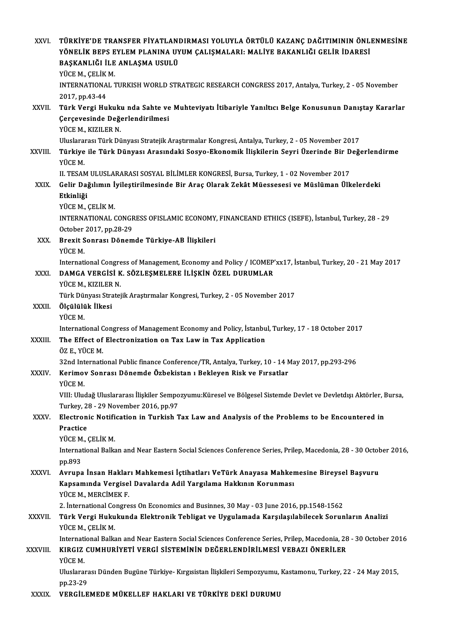| XXVI.        | TÜRKİYE'DE TRANSFER FİYATLANDIRMASI YOLUYLA ÖRTÜLÜ KAZANÇ DAĞITIMININ ÖNLENMESİNE<br>YÖNELIK BEPS EYLEM PLANINA UYUM ÇALIŞMALARI: MALIYE BAKANLIĞI GELIR İDARESİ<br>BAŞKANLIĞI İLE ANLAŞMA USULÜ<br>YÜCE M, ÇELİK M. |
|--------------|----------------------------------------------------------------------------------------------------------------------------------------------------------------------------------------------------------------------|
|              | INTERNATIONAL TURKISH WORLD STRATEGIC RESEARCH CONGRESS 2017, Antalya, Turkey, 2 - 05 November<br>2017, pp.43-44                                                                                                     |
| XXVII.       | Türk Vergi Hukuku nda Sahte ve Muhteviyatı İtibariyle Yanıltıcı Belge Konusunun Danıştay Kararlar<br>Çerçevesinde Değerlendirilmesi<br>YÜCE M., KIZILER N.                                                           |
| XXVIII.      | Uluslararası Türk Dünyası Stratejik Araştırmalar Kongresi, Antalya, Turkey, 2 - 05 November 2017<br>Türkiye ile Türk Dünyası Arasındaki Sosyo-Ekonomik İlişkilerin Seyri Üzerinde Bir Değerlendirme<br>YÜCE M.       |
| XXIX         | II. TESAM ULUSLARARASI SOSYAL BİLİMLER KONGRESİ, Bursa, Turkey, 1 - 02 November 2017<br>Gelir Dağılımın İyileştirilmesinde Bir Araç Olarak Zekât Müessesesi ve Müslüman Ülkelerdeki<br>Etkinliği                     |
|              | YÜCE M, ÇELİK M.<br>INTERNATIONAL CONGRESS OFISLAMIC ECONOMY, FINANCEAND ETHICS (ISEFE), İstanbul, Turkey, 28 - 29<br>October 2017, pp 28-29                                                                         |
| XXX.         | Brexit Sonrası Dönemde Türkiye-AB İlişkileri<br>YÜCE M.                                                                                                                                                              |
| XXXI.        | International Congress of Management, Economy and Policy / ICOMEP'xx17, İstanbul, Turkey, 20 - 21 May 2017<br>DAMGA VERGISI K. SÖZLEŞMELERE İLİŞKİN ÖZEL DURUMLAR<br>YÜCE M., KIZILER N.                             |
| XXXII.       | Türk Dünyası Stratejik Araştırmalar Kongresi, Turkey, 2 - 05 November 2017<br>Ölçülülük İlkesi<br>YÜCE M                                                                                                             |
| XXXIII.      | International Congress of Management Economy and Policy, İstanbul, Turkey, 17 - 18 October 2017<br>The Effect of Electronization on Tax Law in Tax Application                                                       |
| <b>XXXIV</b> | ÖZ E. YÜCE M.<br>32nd International Public finance Conference/TR, Antalya, Turkey, 10 - 14 May 2017, pp.293-296<br>Kerimov Sonrası Dönemde Özbekistan ı Bekleyen Risk ve Fırsatlar                                   |
|              | YÜCE M.<br>VIII: Uludağ Uluslararası İlişkiler Sempozyumu:Küresel ve Bölgesel Sistemde Devlet ve Devletdışı Aktörler, Bursa,<br>Turkey, 28 - 29 November 2016, pp.97                                                 |
| XXXV.        | Electronic Notification in Turkish Tax Law and Analysis of the Problems to be Encountered in<br>Practice<br>YÜCE M, ÇELİK M.                                                                                         |
|              | International Balkan and Near Eastern Social Sciences Conference Series, Prilep, Macedonia, 28 - 30 October 2016,<br>pp.893                                                                                          |
| <b>XXXVI</b> | Avrupa İnsan Hakları Mahkemesi İçtihatları VeTürk Anayasa Mahkemesine Bireysel Başvuru<br>Kapsamında Vergisel Davalarda Adil Yargılama Hakkının Korunması<br>YÜCE M, MERCİMEK F.                                     |
| XXXVII.      | 2. International Congress On Economics and Businnes, 30 May - 03 June 2016, pp.1548-1562<br>Türk Vergi Hukukunda Elektronik Tebligat ve Uygulamada Karşılaşılabilecek Sorunların Analizi<br>YÜCE M, ÇELİK M          |
| XXXVIII.     | International Balkan and Near Eastern Social Sciences Conference Series, Prilep, Macedonia, 28 - 30 October 2016<br>KIRGIZ CUMHURİYETİ VERGİ SİSTEMİNİN DEĞERLENDİRİLMESİ VEBAZI ÖNERİLER<br>YÜCE M.                 |
|              | Uluslararası Dünden Bugüne Türkiye- Kırgısistan İlişkileri Sempozyumu, Kastamonu, Turkey, 22 - 24 May 2015,<br>pp 23-29                                                                                              |
| <b>XXXIX</b> | VERGİLEMEDE MÜKELLEF HAKLARI VE TÜRKİYE DEKİ DURUMU                                                                                                                                                                  |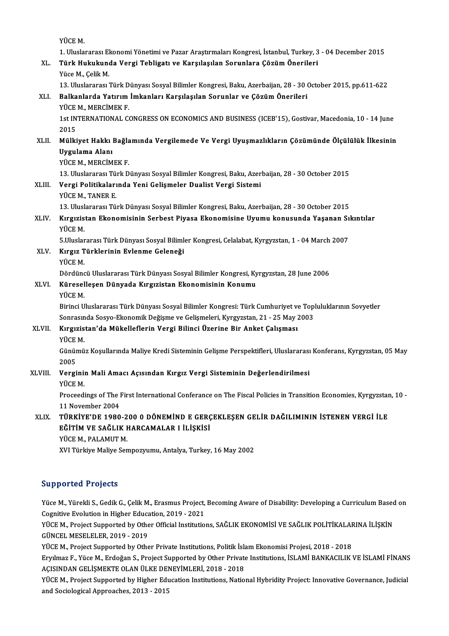YÜCEM.

YÜCE M.<br>1. Uluslararası Ekonomi Yönetimi ve Pazar Araştırmaları Kongresi, İstanbul, Turkey, 3 - 04 December 2015<br>Türk Hukukunda Vergi Tehlisatı ve Karalasılan Sonunlara Gözüm Önerileri

# YÜCE M.<br>1. Uluslararası Ekonomi Yönetimi ve Pazar Araştırmaları Kongresi, İstanbul, Turkey, 3<br>XL. Türk Hukukunda Vergi Tebligatı ve Karşılaşılan Sorunlara Çözüm Önerileri<br><sup>Vüce M.</sup> Cel<sup>il: M</sup> 1. Uluslararası El<br><mark>Türk Hukukuno</mark><br>Yüce M., Çelik M.<br>12. Uluslararası <sup>7</sup> Türk Hukukunda Vergi Tebligatı ve Karşılaşılan Sorunlara Çözüm Önerileri<br>Yüce M., Çelik M.<br>13. Uluslararası Türk Dünyası Sosyal Bilimler Kongresi, Baku, Azerbaijan, 28 - 30 October 2015, pp.611-622<br>Balkanlarda Yatırım İmka

# Yüce M., Çelik M.<br>13. Uluslararası Türk Dünyası Sosyal Bilimler Kongresi, Baku, Azerbaijan, 28 - 30 (XLI. Balkanlarda Yatırım İmkanları Karşılaşılan Sorunlar ve Çözüm Önerileri<br>19. YÜCE M., MERCİMEK F. 13. Uluslararası Türk D<br><mark>Balkanlarda Yatırım</mark><br>YÜCE M., MERCİMEK F.<br>1st INTERNATIONAL *C*

Balkanlarda Yatırım İmkanları Karşılaşılan Sorunlar ve Çözüm Önerileri<br>YÜCE M., MERCİMEK F.<br>1st INTERNATIONAL CONGRESS ON ECONOMICS AND BUSINESS (ICEB'15), Gostivar, Macedonia, 10 - 14 June<br>2015 **YÜCE<br>1st IN<br>2015<br>Mölli** 1st INTERNATIONAL CONGRESS ON ECONOMICS AND BUSINESS (ICEB'15), Gostivar, Macedonia, 10 - 14 June<br>2015<br>XLII. Mülkiyet Hakkı Bağlamında Vergilemede Ve Vergi Uyuşmazlıkların Çözümünde Ölçülülük İlkesinin<br>Ilyaylama Alanı

## 2015<br>Mülkiyet Hakkı<br>Uygulama Alanı<br><sup>Vüçe Marecim</sup> Mülkiyet Hakkı Bağla<br>Uygulama Alanı<br>YÜCE M., MERCİMEK F.<br>13 Uluslaranası Türk D Uygulama Alanı<br>13. Uluslararası Türk Dünyası Sosyal Bilimler Kongresi, Baku, Azerbaijan, 28 - 30 October 2015<br>13. Uluslararası Türk Dünyası Sosyal Bilimler Kongresi, Baku, Azerbaijan, 28 - 30 October 2015

# YÜCE M., MERCİMEK F.<br>13. Uluslararası Türk Dünyası Sosyal Bilimler Kongresi, Baku, Azer<br>XLIII. Vergi Politikalarında Yeni Gelişmeler Dualist Vergi Sistemi<br>VÜCE M. TANER E 13. Uluslararası Tü:<br>Vergi Politikaları<br>YÜCE M., TANER E.<br>12. Uluslararası Tü:

Vergi Politikalarında Yeni Gelişmeler Dualist Vergi Sistemi<br>YÜCE M., TANER E.<br>13. Uluslararası Türk Dünyası Sosyal Bilimler Kongresi, Baku, Azerbaijan, 28 - 30 October 2015<br>Kunusistan Ekonomisinin Sorbost Biyasa Ekonomisin

# YÜCE M., TANER E.<br>13. Uluslararası Türk Dünyası Sosyal Bilimler Kongresi, Baku, Azerbaijan, 28 - 30 October 2015<br>XLIV. Kırgızistan Ekonomisinin Serbest Piyasa Ekonomisine Uyumu konusunda Yaşanan Sıkıntılar<br>YÜCE M. 13. Ulus<mark>l</mark><br>Kırgızis<br>YÜCE M.<br>E Uluslar Kırgızistan Ekonomisinin Serbest Piyasa Ekonomisine Uyumu konusunda Yaşanan Sı<br>YÜCE M.<br>5.Uluslararası Türk Dünyası Sosyal Bilimler Kongresi, Celalabat, Kyrgyzstan, 1 - 04 March 2007<br>Kırgız Türklerinin Evlenme Celeneği

- XLV. Kırgız Türklerinin Evlenme Geleneği 5.Uluslar<br><mark>Kırgız T</mark><br>YÜCE M.<br>Dördüne
	-

Dördüncü Uluslararası Türk Dünyası Sosyal Bilimler Kongresi, Kyrgyzstan, 28 June 2006

# YÜCE M.<br>Dördüncü Uluslararası Türk Dünyası Sosyal Bilimler Kongresi, Ky<br>XLVI. Küreselleşen Dünyada Kırgızistan Ekonomisinin Konumu<br>vüce M Dördün<mark>c</mark><br>**Küresel**<br>YÜCE M.

Küreselleşen Dünyada Kırgızistan Ekonomisinin Konumu<br>YÜCE M.<br>Birinci Uluslararası Türk Dünyası Sosyal Bilimler Kongresi: Türk Cumhuriyet ve Topluluklarının Sovyetler<br>Sonrasında Sosya Ekonomik Dağisme ve Celismeleri, Kurguz YÜCE M.<br>Birinci Uluslararası Türk Dünyası Sosyal Bilimler Kongresi: Türk Cumhuriyet ve Top<br>Sonrasında Sosyo-Ekonomik Değişme ve Gelişmeleri, Kyrgyzstan, 21 - 25 May 2003<br>Kıngızistan'da Mükallaflarin Vergi Bilingi Üzerine B Sonrasında Sosyo-Ekonomik Değişme ve Gelişmeleri, Kyrgyzstan, 21 - 25 May 2003

## XLVII. Kırgızistan'da Mükelleflerin Vergi Bilinci Üzerine Bir Anket Çalışması<br>YÜCE M.

Kırgızistan'da Mükelleflerin Vergi Bilinci Üzerine Bir Anket Çalışması<br>YÜCE M.<br>Günümüz Koşullarında Maliye Kredi Sisteminin Gelişme Perspektifleri, Uluslararası Konferans, Kyrgyzstan, 05 May YÜCE<br>Günür<br>2005<br>Versi Günümüz Koşullarında Maliye Kredi Sisteminin Gelişme Perspektifleri, Uluslararası<br>2005<br>XLVIII. Verginin Mali Amacı Açısından Kırgız Vergi Sisteminin Değerlendirilmesi<br>vüce M

# 2005<br>Verginin Mali Amacı Açısından Kırgız Vergi Sisteminin Değerlendirilmesi<br>YÜCE M.

Verginin Mali Amacı Açısından Kırgız Vergi Sisteminin Değerlendirilmesi<br>YÜCE M.<br>Proceedings of The First International Conferance on The Fiscal Policies in Transition Economies, Kyrgyzstan, 10 -YÜCE M.<br>Proceedings of The l<br>11 November 2004<br>Tünkivelde 1090 Proceedings of The First International Conferance on The Fiscal Policies in Transition Economies, Kyrgyzstar<br>11 November 2004<br>XLIX. TÜRKİYE'DE 1980-200 0 DÖNEMİND E GERÇEKLEŞEN GELİR DAĞILIMININ İSTENEN VERGİ İLE

## 11 November 2004<br>TÜRKİYE'DE 1980-200 0 DÖNEMİND E GERÇ<br>EĞİTİM VE SAĞLIK HARCAMALAR I İLİŞKİSİ<br>YÜCEM, BALAMITM TÜRKİYE'DE 1980-2<br>EĞİTİM VE SAĞLIK I<br>YÜCE M., PALAMUT M.<br>YVI Türkiye Maliye Sen EĞİTİM VE SAĞLIK HARCAMALAR I İLİŞKİSİ<br>YÜCE M., PALAMUT M.<br>XVI Türkiye Maliye Sempozyumu, Antalya, Turkey, 16 May 2002

#### Supported Projects

Supported Projects<br>Yüce M., Yürekli S., Gedik G., Çelik M., Erasmus Project, Becoming Aware of Disability: Developing a Curriculum Based on<br>Cognitive Evelytion in Higher Education, 2019, ................................... Eupported Trojects<br>Tüce M., Yürekli S., Gedik G., Çelik M., Erasmus Project,<br>Cognitive Evolution in Higher Education, 2019 - 2021<br>VÜCE M. Project Supported by Other Official Institutio Yüce M., Yürekli S., Gedik G., Çelik M., Erasmus Project, Becoming Aware of Disability: Developing a Curriculum Based<br>Cognitive Evolution in Higher Education, 2019 - 2021<br>YÜCE M., Project Supported by Other Official Instit

Cognitive Evolution in Higher Educa<br>YÜCE M., Project Supported by Othe<br>GÜNCEL MESELELER, 2019 - 2019<br>YÜCE M. Project Supported by Othe YÜCE M., Project Supported by Other Official Institutions, SAĞLIK EKONOMİSİ VE SAĞLIK POLİTİKALAF<br>GÜNCEL MESELELER, 2019 - 2019<br>YÜCE M., Project Supported by Other Private Institutions, Politik İslam Ekonomisi Projesi, 201

GÜNCEL MESELELER, 2019 - 2019<br>YÜCE M., Project Supported by Other Private Institutions, Politik İslam Ekonomisi Projesi, 2018 - 2018<br>Eryılmaz F., Yüce M., Erdoğan S., Project Supported by Other Private Institutions, İSLAMİ YÜCE M., Project Supported by Other Private Institutions, Politik İslam<br>Eryılmaz F., Yüce M., Erdoğan S., Project Supported by Other Private<br>AÇISINDAN GELİŞMEKTE OLAN ÜLKE DENEYİMLERİ, 2018 - 2018<br>YÜCE M. Project Supported Eryılmaz F., Yüce M., Erdoğan S., Project Supported by Other Private Institutions, İSLAMİ BANKACILIK VE İSLAMİ FİNANS<br>AÇISINDAN GELİŞMEKTE OLAN ÜLKE DENEYİMLERİ, 2018 - 2018<br>YÜCE M., Project Supported by Higher Education I

AÇISINDAN GELİŞMEKTE OLAN ÜLKE DENEYİMLERİ, 2018 - 2018<br>YÜCE M., Project Supported by Higher Education Institutions, National Hybridity Project: Innovative Governance, Judicial<br>and Sociological Approaches, 2013 - 2015